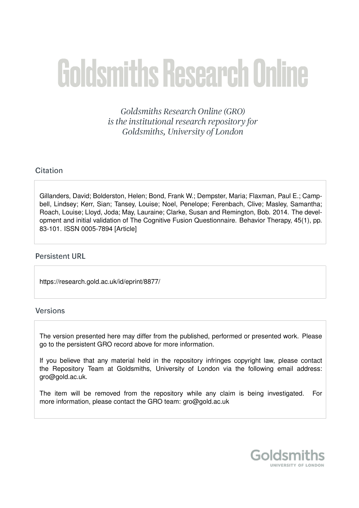# Goldsmiths Research Online

Goldsmiths Research Online (GRO) is the institutional research repository for Goldsmiths, University of London

# Citation

Gillanders, David; Bolderston, Helen; Bond, Frank W.; Dempster, Maria; Flaxman, Paul E.; Campbell, Lindsey; Kerr, Sian; Tansey, Louise; Noel, Penelope; Ferenbach, Clive; Masley, Samantha; Roach, Louise; Lloyd, Joda; May, Lauraine; Clarke, Susan and Remington, Bob. 2014. The development and initial validation of The Cognitive Fusion Questionnaire. Behavior Therapy, 45(1), pp. 83-101. ISSN 0005-7894 [Article]

# **Persistent URL**

https://research.gold.ac.uk/id/eprint/8877/

# **Versions**

The version presented here may differ from the published, performed or presented work. Please go to the persistent GRO record above for more information.

If you believe that any material held in the repository infringes copyright law, please contact the Repository Team at Goldsmiths, University of London via the following email address: gro@gold.ac.uk.

The item will be removed from the repository while any claim is being investigated. For more information, please contact the GRO team: gro@gold.ac.uk

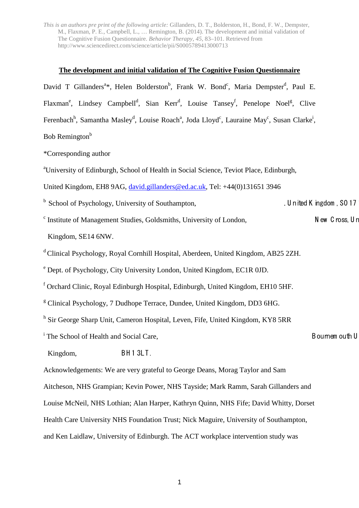#### **The development and initial validation of The Cognitive Fusion Questionnaire**

David T Gillanders<sup>a\*</sup>, Helen Bolderston<sup>b</sup>, Frank W. Bond<sup>c</sup>, Maria Dempster<sup>d</sup>, Paul E. Flaxman<sup>e</sup>, Lindsey Campbell<sup>d</sup>, Sian Kerr<sup>d</sup>, Louise Tansey<sup>f</sup>, Penelope Noel<sup>g</sup>, Clive Ferenbach<sup>h</sup>, Samantha Masley<sup>d</sup>, Louise Roach<sup>a</sup>, Joda Lloyd<sup>c</sup>, Lauraine May<sup>c</sup>, Susan Clarke<sup>i</sup>, Bob Remington<sup>b</sup>

\*Corresponding author

<sup>a</sup>University of Edinburgh, School of Health in Social Science, Teviot Place, Edinburgh,

- United Kingdom, EH8 9AG, [david.gillanders@ed.ac.uk,](mailto:david.gillanders@ed.ac.uk) Tel: +44(0)131651 3946
- $b$  School of Psychology, University of Southampton, ... . United K ingdom , S0 17

 $\textdegree$  Institute of Management Studies, Goldsmiths, University of London,  $\blacksquare$  N ew C ross, U n Kingdom, SE14 6NW.

d Clinical Psychology, Royal Cornhill Hospital, Aberdeen, United Kingdom, AB25 2ZH.

<sup>e</sup> Dept. of Psychology, City University London, United Kingdom, EC1R 0JD.

 $f$  Orchard Clinic, Royal Edinburgh Hospital, Edinburgh, United Kingdom, EH10 5HF.

<sup>g</sup> Clinical Psychology, 7 Dudhope Terrace, Dundee, United Kingdom, DD3 6HG.

h Sir George Sharp Unit, Cameron Hospital, Leven, Fife, United Kingdom, KY8 5RR

 $\mathbf{I}^i$  The School of Health and Social Care, B ournem outh U

Kingdom, BH 1 3LT.

Acknowledgements: We are very grateful to George Deans, Morag Taylor and Sam

Aitcheson, NHS Grampian; Kevin Power, NHS Tayside; Mark Ramm, Sarah Gillanders and

Louise McNeil, NHS Lothian; Alan Harper, Kathryn Quinn, NHS Fife; David Whitty, Dorset

Health Care University NHS Foundation Trust; Nick Maguire, University of Southampton,

and Ken Laidlaw, University of Edinburgh. The ACT workplace intervention study was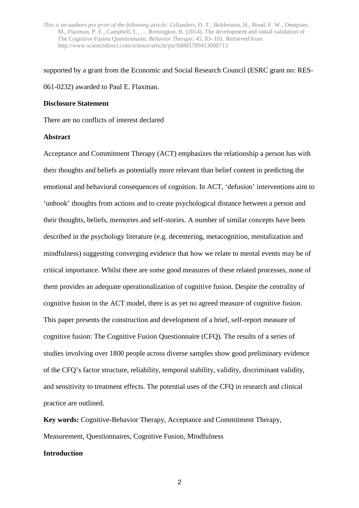supported by a grant from the Economic and Social Research Council (ESRC grant no: RES-061-0232) awarded to Paul E. Flaxman.

#### **Disclosure Statement**

There are no conflicts of interest declared

#### **Abstract**

Acceptance and Commitment Therapy (ACT) emphasizes the relationship a person has with their thoughts and beliefs as potentially more relevant than belief content in predicting the emotional and behavioral consequences of cognition. In ACT, 'defusion' interventions aim to 'unhook' thoughts from actions and to create psychological distance between a person and their thoughts, beliefs, memories and self-stories. A number of similar concepts have been described in the psychology literature (e.g. decentering, metacognition, mentalization and mindfulness) suggesting converging evidence that how we relate to mental events may be of critical importance. Whilst there are some good measures of these related processes, none of them provides an adequate operationalization of cognitive fusion. Despite the centrality of cognitive fusion in the ACT model, there is as yet no agreed measure of cognitive fusion. This paper presents the construction and development of a brief, self-report measure of cognitive fusion: The Cognitive Fusion Questionnaire (CFQ). The results of a series of studies involving over 1800 people across diverse samples show good preliminary evidence of the CFQ's factor structure, reliability, temporal stability, validity, discriminant validity, and sensitivity to treatment effects. The potential uses of the CFQ in research and clinical practice are outlined.

**Key words:** Cognitive-Behavior Therapy, Acceptance and Commitment Therapy, Measurement, Questionnaires, Cognitive Fusion, Mindfulness

#### **Introduction**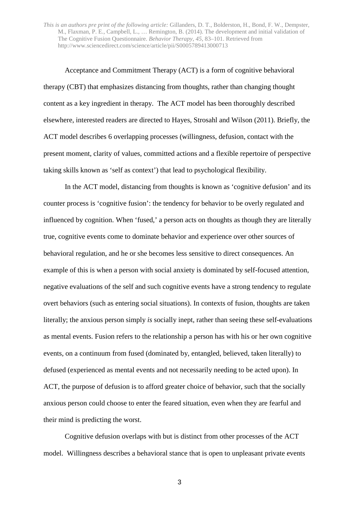Acceptance and Commitment Therapy (ACT) is a form of cognitive behavioral therapy (CBT) that emphasizes distancing from thoughts, rather than changing thought content as a key ingredient in therapy. The ACT model has been thoroughly described elsewhere, interested readers are directed to Hayes, Strosahl and Wilson (2011). Briefly, the ACT model describes 6 overlapping processes (willingness, defusion, contact with the present moment, clarity of values, committed actions and a flexible repertoire of perspective taking skills known as 'self as context') that lead to psychological flexibility.

In the ACT model, distancing from thoughts is known as 'cognitive defusion' and its counter process is 'cognitive fusion': the tendency for behavior to be overly regulated and influenced by cognition. When 'fused,' a person acts on thoughts as though they are literally true, cognitive events come to dominate behavior and experience over other sources of behavioral regulation, and he or she becomes less sensitive to direct consequences. An example of this is when a person with social anxiety is dominated by self-focused attention, negative evaluations of the self and such cognitive events have a strong tendency to regulate overt behaviors (such as entering social situations). In contexts of fusion, thoughts are taken literally; the anxious person simply *is* socially inept, rather than seeing these self-evaluations as mental events. Fusion refers to the relationship a person has with his or her own cognitive events, on a continuum from fused (dominated by, entangled, believed, taken literally) to defused (experienced as mental events and not necessarily needing to be acted upon). In ACT, the purpose of defusion is to afford greater choice of behavior, such that the socially anxious person could choose to enter the feared situation, even when they are fearful and their mind is predicting the worst.

Cognitive defusion overlaps with but is distinct from other processes of the ACT model. Willingness describes a behavioral stance that is open to unpleasant private events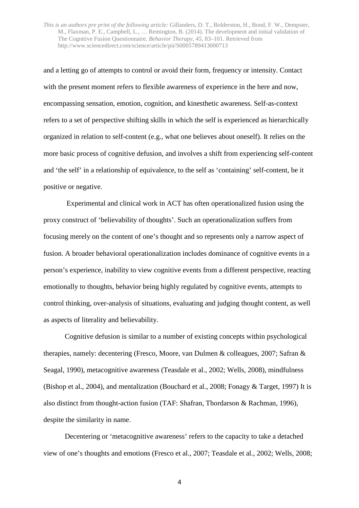and a letting go of attempts to control or avoid their form, frequency or intensity. Contact with the present moment refers to flexible awareness of experience in the here and now, encompassing sensation, emotion, cognition, and kinesthetic awareness. Self-as-context refers to a set of perspective shifting skills in which the self is experienced as hierarchically organized in relation to self-content (e.g., what one believes about oneself). It relies on the more basic process of cognitive defusion, and involves a shift from experiencing self-content and 'the self' in a relationship of equivalence, to the self as 'containing' self-content, be it positive or negative.

Experimental and clinical work in ACT has often operationalized fusion using the proxy construct of 'believability of thoughts'. Such an operationalization suffers from focusing merely on the content of one's thought and so represents only a narrow aspect of fusion. A broader behavioral operationalization includes dominance of cognitive events in a person's experience, inability to view cognitive events from a different perspective, reacting emotionally to thoughts, behavior being highly regulated by cognitive events, attempts to control thinking, over-analysis of situations, evaluating and judging thought content, as well as aspects of literality and believability.

Cognitive defusion is similar to a number of existing concepts within psychological therapies, namely: decentering (Fresco, Moore, van Dulmen & colleagues, 2007; Safran & Seagal, 1990), metacognitive awareness (Teasdale et al., 2002; Wells, 2008), mindfulness (Bishop et al., 2004), and mentalization (Bouchard et al., 2008; Fonagy & Target, 1997) It is also distinct from thought-action fusion (TAF: Shafran, Thordarson & Rachman, 1996), despite the similarity in name.

Decentering or 'metacognitive awareness' refers to the capacity to take a detached view of one's thoughts and emotions (Fresco et al., 2007; Teasdale et al., 2002; Wells, 2008;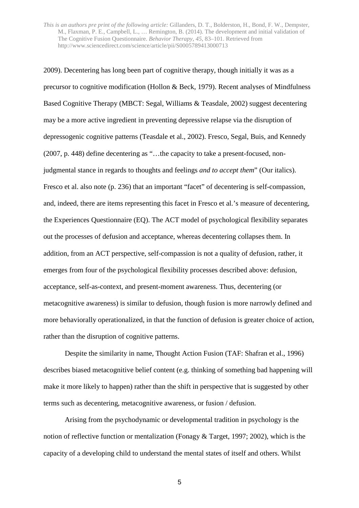2009). Decentering has long been part of cognitive therapy, though initially it was as a precursor to cognitive modification (Hollon & Beck, 1979). Recent analyses of Mindfulness Based Cognitive Therapy (MBCT: Segal, Williams & Teasdale, 2002) suggest decentering may be a more active ingredient in preventing depressive relapse via the disruption of depressogenic cognitive patterns (Teasdale et al., 2002). Fresco, Segal, Buis, and Kennedy (2007, p. 448) define decentering as "…the capacity to take a present-focused, nonjudgmental stance in regards to thoughts and feelings *and to accept them*" (Our italics). Fresco et al. also note (p. 236) that an important "facet" of decentering is self-compassion, and, indeed, there are items representing this facet in Fresco et al.'s measure of decentering, the Experiences Questionnaire (EQ). The ACT model of psychological flexibility separates out the processes of defusion and acceptance, whereas decentering collapses them. In addition, from an ACT perspective, self-compassion is not a quality of defusion, rather, it emerges from four of the psychological flexibility processes described above: defusion, acceptance, self-as-context, and present-moment awareness. Thus, decentering (or metacognitive awareness) is similar to defusion, though fusion is more narrowly defined and more behaviorally operationalized, in that the function of defusion is greater choice of action, rather than the disruption of cognitive patterns.

Despite the similarity in name, Thought Action Fusion (TAF: Shafran et al., 1996) describes biased metacognitive belief content (e.g. thinking of something bad happening will make it more likely to happen) rather than the shift in perspective that is suggested by other terms such as decentering, metacognitive awareness, or fusion / defusion.

Arising from the psychodynamic or developmental tradition in psychology is the notion of reflective function or mentalization (Fonagy & Target, 1997; 2002), which is the capacity of a developing child to understand the mental states of itself and others. Whilst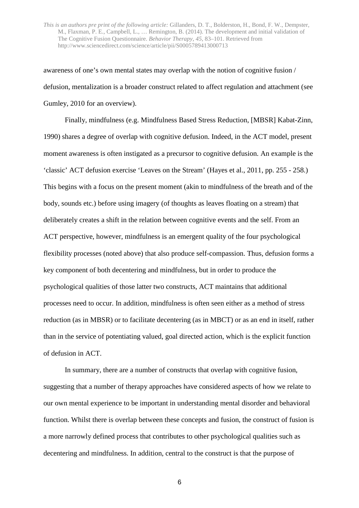awareness of one's own mental states may overlap with the notion of cognitive fusion / defusion, mentalization is a broader construct related to affect regulation and attachment (see Gumley, 2010 for an overview).

Finally, mindfulness (e.g. Mindfulness Based Stress Reduction, [MBSR] Kabat-Zinn, 1990) shares a degree of overlap with cognitive defusion. Indeed, in the ACT model, present moment awareness is often instigated as a precursor to cognitive defusion. An example is the 'classic' ACT defusion exercise 'Leaves on the Stream' (Hayes et al., 2011, pp. 255 - 258.) This begins with a focus on the present moment (akin to mindfulness of the breath and of the body, sounds etc.) before using imagery (of thoughts as leaves floating on a stream) that deliberately creates a shift in the relation between cognitive events and the self. From an ACT perspective, however, mindfulness is an emergent quality of the four psychological flexibility processes (noted above) that also produce self-compassion. Thus, defusion forms a key component of both decentering and mindfulness, but in order to produce the psychological qualities of those latter two constructs, ACT maintains that additional processes need to occur. In addition, mindfulness is often seen either as a method of stress reduction (as in MBSR) or to facilitate decentering (as in MBCT) or as an end in itself, rather than in the service of potentiating valued, goal directed action, which is the explicit function of defusion in ACT.

In summary, there are a number of constructs that overlap with cognitive fusion, suggesting that a number of therapy approaches have considered aspects of how we relate to our own mental experience to be important in understanding mental disorder and behavioral function. Whilst there is overlap between these concepts and fusion, the construct of fusion is a more narrowly defined process that contributes to other psychological qualities such as decentering and mindfulness. In addition, central to the construct is that the purpose of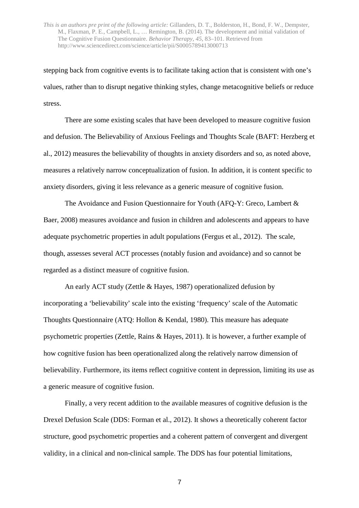stepping back from cognitive events is to facilitate taking action that is consistent with one's values, rather than to disrupt negative thinking styles, change metacognitive beliefs or reduce stress.

There are some existing scales that have been developed to measure cognitive fusion and defusion. The Believability of Anxious Feelings and Thoughts Scale (BAFT: Herzberg et al., 2012) measures the believability of thoughts in anxiety disorders and so, as noted above, measures a relatively narrow conceptualization of fusion. In addition, it is content specific to anxiety disorders, giving it less relevance as a generic measure of cognitive fusion.

The Avoidance and Fusion Questionnaire for Youth (AFQ-Y: Greco, Lambert & Baer, 2008) measures avoidance and fusion in children and adolescents and appears to have adequate psychometric properties in adult populations (Fergus et al., 2012). The scale, though, assesses several ACT processes (notably fusion and avoidance) and so cannot be regarded as a distinct measure of cognitive fusion.

An early ACT study (Zettle & Hayes, 1987) operationalized defusion by incorporating a 'believability' scale into the existing 'frequency' scale of the Automatic Thoughts Questionnaire (ATQ: Hollon & Kendal, 1980). This measure has adequate psychometric properties (Zettle, Rains & Hayes, 2011). It is however, a further example of how cognitive fusion has been operationalized along the relatively narrow dimension of believability. Furthermore, its items reflect cognitive content in depression, limiting its use as a generic measure of cognitive fusion.

Finally, a very recent addition to the available measures of cognitive defusion is the Drexel Defusion Scale (DDS: Forman et al., 2012). It shows a theoretically coherent factor structure, good psychometric properties and a coherent pattern of convergent and divergent validity, in a clinical and non-clinical sample. The DDS has four potential limitations,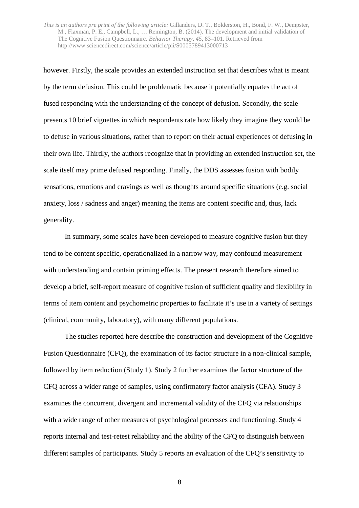however. Firstly, the scale provides an extended instruction set that describes what is meant by the term defusion. This could be problematic because it potentially equates the act of fused responding with the understanding of the concept of defusion. Secondly, the scale presents 10 brief vignettes in which respondents rate how likely they imagine they would be to defuse in various situations, rather than to report on their actual experiences of defusing in their own life. Thirdly, the authors recognize that in providing an extended instruction set, the scale itself may prime defused responding. Finally, the DDS assesses fusion with bodily sensations, emotions and cravings as well as thoughts around specific situations (e.g. social anxiety, loss / sadness and anger) meaning the items are content specific and, thus, lack generality.

In summary, some scales have been developed to measure cognitive fusion but they tend to be content specific, operationalized in a narrow way, may confound measurement with understanding and contain priming effects. The present research therefore aimed to develop a brief, self-report measure of cognitive fusion of sufficient quality and flexibility in terms of item content and psychometric properties to facilitate it's use in a variety of settings (clinical, community, laboratory), with many different populations.

The studies reported here describe the construction and development of the Cognitive Fusion Questionnaire (CFQ), the examination of its factor structure in a non-clinical sample, followed by item reduction (Study 1). Study 2 further examines the factor structure of the CFQ across a wider range of samples, using confirmatory factor analysis (CFA). Study 3 examines the concurrent, divergent and incremental validity of the CFQ via relationships with a wide range of other measures of psychological processes and functioning. Study 4 reports internal and test-retest reliability and the ability of the CFQ to distinguish between different samples of participants. Study 5 reports an evaluation of the CFQ's sensitivity to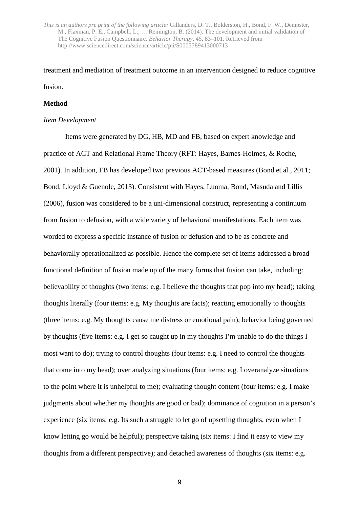treatment and mediation of treatment outcome in an intervention designed to reduce cognitive fusion.

#### **Method**

#### *Item Development*

Items were generated by DG, HB, MD and FB, based on expert knowledge and practice of ACT and Relational Frame Theory (RFT: Hayes, Barnes-Holmes, & Roche, 2001). In addition, FB has developed two previous ACT-based measures (Bond et al., 2011; Bond, Lloyd & Guenole, 2013). Consistent with Hayes, Luoma, Bond, Masuda and Lillis (2006), fusion was considered to be a uni-dimensional construct, representing a continuum from fusion to defusion, with a wide variety of behavioral manifestations. Each item was worded to express a specific instance of fusion or defusion and to be as concrete and behaviorally operationalized as possible. Hence the complete set of items addressed a broad functional definition of fusion made up of the many forms that fusion can take, including: believability of thoughts (two items: e.g. I believe the thoughts that pop into my head); taking thoughts literally (four items: e.g. My thoughts are facts); reacting emotionally to thoughts (three items: e.g. My thoughts cause me distress or emotional pain); behavior being governed by thoughts (five items: e.g. I get so caught up in my thoughts I'm unable to do the things I most want to do); trying to control thoughts (four items: e.g. I need to control the thoughts that come into my head); over analyzing situations (four items: e.g. I overanalyze situations to the point where it is unhelpful to me); evaluating thought content (four items: e.g. I make judgments about whether my thoughts are good or bad); dominance of cognition in a person's experience (six items: e.g. Its such a struggle to let go of upsetting thoughts, even when I know letting go would be helpful); perspective taking (six items: I find it easy to view my thoughts from a different perspective); and detached awareness of thoughts (six items: e.g.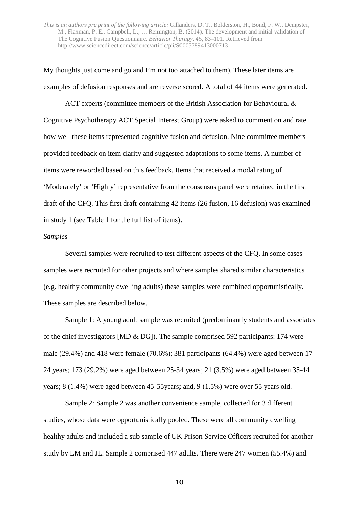My thoughts just come and go and I'm not too attached to them). These later items are examples of defusion responses and are reverse scored. A total of 44 items were generated.

ACT experts (committee members of the British Association for Behavioural  $\&$ Cognitive Psychotherapy ACT Special Interest Group) were asked to comment on and rate how well these items represented cognitive fusion and defusion. Nine committee members provided feedback on item clarity and suggested adaptations to some items. A number of items were reworded based on this feedback. Items that received a modal rating of 'Moderately' or 'Highly' representative from the consensus panel were retained in the first draft of the CFQ. This first draft containing 42 items (26 fusion, 16 defusion) was examined in study 1 (see Table 1 for the full list of items).

#### *Samples*

Several samples were recruited to test different aspects of the CFQ. In some cases samples were recruited for other projects and where samples shared similar characteristics (e.g. healthy community dwelling adults) these samples were combined opportunistically. These samples are described below.

Sample 1: A young adult sample was recruited (predominantly students and associates of the chief investigators [MD & DG]). The sample comprised 592 participants: 174 were male (29.4%) and 418 were female (70.6%); 381 participants (64.4%) were aged between 17- 24 years; 173 (29.2%) were aged between 25-34 years; 21 (3.5%) were aged between 35-44 years; 8 (1.4%) were aged between 45-55years; and, 9 (1.5%) were over 55 years old.

Sample 2: Sample 2 was another convenience sample, collected for 3 different studies, whose data were opportunistically pooled. These were all community dwelling healthy adults and included a sub sample of UK Prison Service Officers recruited for another study by LM and JL. Sample 2 comprised 447 adults. There were 247 women (55.4%) and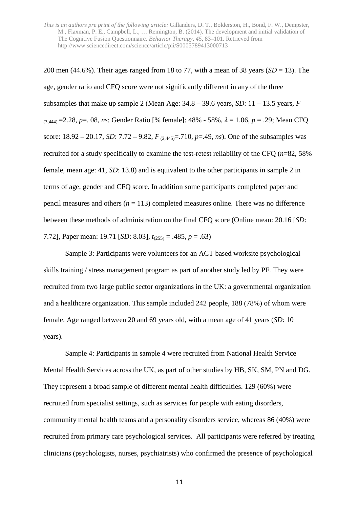200 men (44.6%). Their ages ranged from 18 to 77, with a mean of 38 years ( $SD = 13$ ). The age, gender ratio and CFQ score were not significantly different in any of the three subsamples that make up sample 2 (Mean Age:  $34.8 - 39.6$  years, *SD*:  $11 - 13.5$  years, *F* (3,444) =2.28, *p*=. 08, *ns*; Gender Ratio [% female]: 48% - 58%, *λ* = 1.06, *p* = .29; Mean CFQ score:  $18.92 - 20.17$ , *SD*:  $7.72 - 9.82$ ,  $F_{(2.445)} = 710$ ,  $p = .49$ , *ns*). One of the subsamples was recruited for a study specifically to examine the test-retest reliability of the CFQ (*n*=82, 58% female, mean age: 41, *SD*: 13.8) and is equivalent to the other participants in sample 2 in terms of age, gender and CFQ score. In addition some participants completed paper and pencil measures and others  $(n = 113)$  completed measures online. There was no difference between these methods of administration on the final CFQ score (Online mean: 20.16 [*SD*: 7.72], Paper mean: 19.71 [*SD*: 8.03], *t*(255) = .485, *p* = .63)

Sample 3: Participants were volunteers for an ACT based worksite psychological skills training / stress management program as part of another study led by PF. They were recruited from two large public sector organizations in the UK: a governmental organization and a healthcare organization. This sample included 242 people, 188 (78%) of whom were female. Age ranged between 20 and 69 years old, with a mean age of 41 years (*SD*: 10 years).

Sample 4: Participants in sample 4 were recruited from National Health Service Mental Health Services across the UK, as part of other studies by HB, SK, SM, PN and DG. They represent a broad sample of different mental health difficulties. 129 (60%) were recruited from specialist settings, such as services for people with eating disorders, community mental health teams and a personality disorders service, whereas 86 (40%) were recruited from primary care psychological services. All participants were referred by treating clinicians (psychologists, nurses, psychiatrists) who confirmed the presence of psychological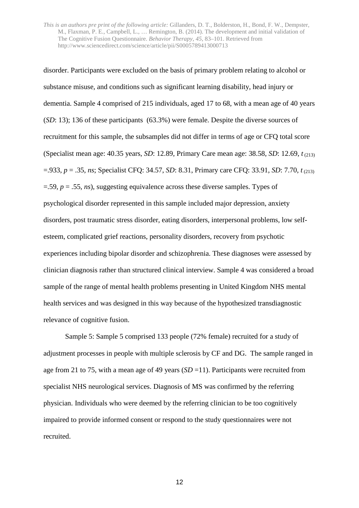disorder. Participants were excluded on the basis of primary problem relating to alcohol or substance misuse, and conditions such as significant learning disability, head injury or dementia. Sample 4 comprised of 215 individuals, aged 17 to 68, with a mean age of 40 years (*SD*: 13); 136 of these participants (63.3%) were female. Despite the diverse sources of recruitment for this sample, the subsamples did not differ in terms of age or CFQ total score (Specialist mean age: 40.35 years, *SD*: 12.89, Primary Care mean age: 38.58, *SD*: 12.69, *t* (213) =.933, *p* = .35, *ns*; Specialist CFQ: 34.57, *SD*: 8.31, Primary care CFQ: 33.91, *SD*: 7.70, *t* (213) =.59, *p* = .55, *ns*), suggesting equivalence across these diverse samples. Types of psychological disorder represented in this sample included major depression, anxiety disorders, post traumatic stress disorder, eating disorders, interpersonal problems, low selfesteem, complicated grief reactions, personality disorders, recovery from psychotic experiences including bipolar disorder and schizophrenia. These diagnoses were assessed by clinician diagnosis rather than structured clinical interview. Sample 4 was considered a broad sample of the range of mental health problems presenting in United Kingdom NHS mental health services and was designed in this way because of the hypothesized transdiagnostic relevance of cognitive fusion.

Sample 5: Sample 5 comprised 133 people (72% female) recruited for a study of adjustment processes in people with multiple sclerosis by CF and DG. The sample ranged in age from 21 to 75, with a mean age of 49 years (*SD* =11). Participants were recruited from specialist NHS neurological services. Diagnosis of MS was confirmed by the referring physician. Individuals who were deemed by the referring clinician to be too cognitively impaired to provide informed consent or respond to the study questionnaires were not recruited.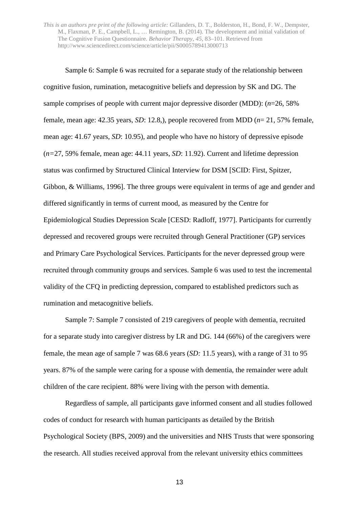Sample 6: Sample 6 was recruited for a separate study of the relationship between cognitive fusion, rumination, metacognitive beliefs and depression by SK and DG. The sample comprises of people with current major depressive disorder (MDD): (*n*=26, 58% female, mean age: 42.35 years, *SD*: 12.8,), people recovered from MDD (*n*= 21, 57% female, mean age: 41.67 years, *SD*: 10.95), and people who have no history of depressive episode (*n=*27, 59% female, mean age: 44.11 years, *SD*: 11.92). Current and lifetime depression status was confirmed by Structured Clinical Interview for DSM [SCID: First, Spitzer, Gibbon, & Williams, 1996]. The three groups were equivalent in terms of age and gender and differed significantly in terms of current mood, as measured by the Centre for Epidemiological Studies Depression Scale [CESD: Radloff, 1977]. Participants for currently depressed and recovered groups were recruited through General Practitioner (GP) services and Primary Care Psychological Services. Participants for the never depressed group were recruited through community groups and services. Sample 6 was used to test the incremental validity of the CFQ in predicting depression, compared to established predictors such as rumination and metacognitive beliefs.

Sample 7: Sample 7 consisted of 219 caregivers of people with dementia, recruited for a separate study into caregiver distress by LR and DG. 144 (66%) of the caregivers were female, the mean age of sample 7 was 68.6 years (*SD:* 11.5 years), with a range of 31 to 95 years. 87% of the sample were caring for a spouse with dementia, the remainder were adult children of the care recipient. 88% were living with the person with dementia.

Regardless of sample, all participants gave informed consent and all studies followed codes of conduct for research with human participants as detailed by the British Psychological Society (BPS, 2009) and the universities and NHS Trusts that were sponsoring the research. All studies received approval from the relevant university ethics committees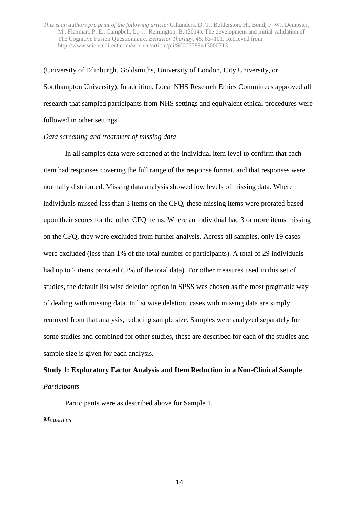(University of Edinburgh, Goldsmiths, University of London, City University, or Southampton University). In addition, Local NHS Research Ethics Committees approved all research that sampled participants from NHS settings and equivalent ethical procedures were followed in other settings.

#### *Data screening and treatment of missing data*

In all samples data were screened at the individual item level to confirm that each item had responses covering the full range of the response format, and that responses were normally distributed. Missing data analysis showed low levels of missing data. Where individuals missed less than 3 items on the CFQ, these missing items were prorated based upon their scores for the other CFQ items. Where an individual had 3 or more items missing on the CFQ, they were excluded from further analysis. Across all samples, only 19 cases were excluded (less than 1% of the total number of participants). A total of 29 individuals had up to 2 items prorated (.2% of the total data). For other measures used in this set of studies, the default list wise deletion option in SPSS was chosen as the most pragmatic way of dealing with missing data. In list wise deletion, cases with missing data are simply removed from that analysis, reducing sample size. Samples were analyzed separately for some studies and combined for other studies, these are described for each of the studies and sample size is given for each analysis.

# **Study 1: Exploratory Factor Analysis and Item Reduction in a Non-Clinical Sample** *Participants*

Participants were as described above for Sample 1.

#### *Measures*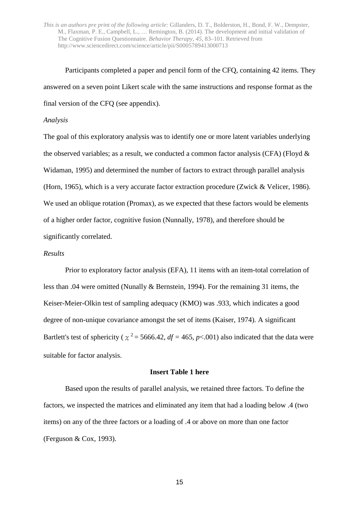Participants completed a paper and pencil form of the CFQ, containing 42 items. They answered on a seven point Likert scale with the same instructions and response format as the final version of the CFQ (see appendix).

#### *Analysis*

The goal of this exploratory analysis was to identify one or more latent variables underlying the observed variables; as a result, we conducted a common factor analysis (CFA) (Floyd  $\&$ Widaman, 1995) and determined the number of factors to extract through parallel analysis (Horn, 1965), which is a very accurate factor extraction procedure (Zwick & Velicer, 1986). We used an oblique rotation (Promax), as we expected that these factors would be elements of a higher order factor, cognitive fusion (Nunnally, 1978), and therefore should be significantly correlated.

#### *Results*

Prior to exploratory factor analysis (EFA), 11 items with an item-total correlation of less than .04 were omitted (Nunally & Bernstein, 1994). For the remaining 31 items, the Keiser-Meier-Olkin test of sampling adequacy (KMO) was .933, which indicates a good degree of non-unique covariance amongst the set of items (Kaiser, 1974). A significant Bartlett's test of sphericity ( $\chi^2$  = 5666.42, *df* = 465, *p*<.001) also indicated that the data were suitable for factor analysis.

#### **Insert Table 1 here**

Based upon the results of parallel analysis, we retained three factors. To define the factors, we inspected the matrices and eliminated any item that had a loading below .4 (two items) on any of the three factors or a loading of .4 or above on more than one factor (Ferguson & Cox, 1993).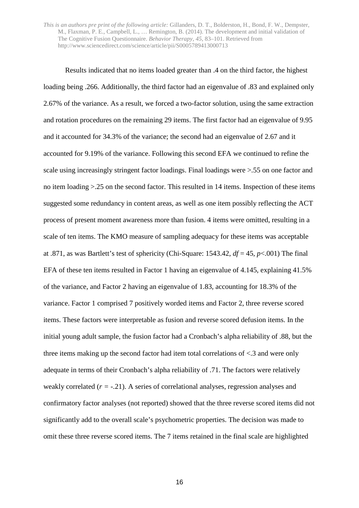Results indicated that no items loaded greater than .4 on the third factor, the highest loading being .266. Additionally, the third factor had an eigenvalue of .83 and explained only 2.67% of the variance. As a result, we forced a two-factor solution, using the same extraction and rotation procedures on the remaining 29 items. The first factor had an eigenvalue of 9.95 and it accounted for 34.3% of the variance; the second had an eigenvalue of 2.67 and it accounted for 9.19% of the variance. Following this second EFA we continued to refine the scale using increasingly stringent factor loadings. Final loadings were >.55 on one factor and no item loading >.25 on the second factor. This resulted in 14 items. Inspection of these items suggested some redundancy in content areas, as well as one item possibly reflecting the ACT process of present moment awareness more than fusion. 4 items were omitted, resulting in a scale of ten items. The KMO measure of sampling adequacy for these items was acceptable at .871, as was Bartlett's test of sphericity (Chi-Square: 1543.42, *df* = 45, *p*<.001) The final EFA of these ten items resulted in Factor 1 having an eigenvalue of 4.145, explaining 41.5% of the variance, and Factor 2 having an eigenvalue of 1.83, accounting for 18.3% of the variance. Factor 1 comprised 7 positively worded items and Factor 2, three reverse scored items. These factors were interpretable as fusion and reverse scored defusion items. In the initial young adult sample, the fusion factor had a Cronbach's alpha reliability of .88, but the three items making up the second factor had item total correlations of <.3 and were only adequate in terms of their Cronbach's alpha reliability of .71. The factors were relatively weakly correlated (*r =* -.21). A series of correlational analyses, regression analyses and confirmatory factor analyses (not reported) showed that the three reverse scored items did not significantly add to the overall scale's psychometric properties. The decision was made to omit these three reverse scored items. The 7 items retained in the final scale are highlighted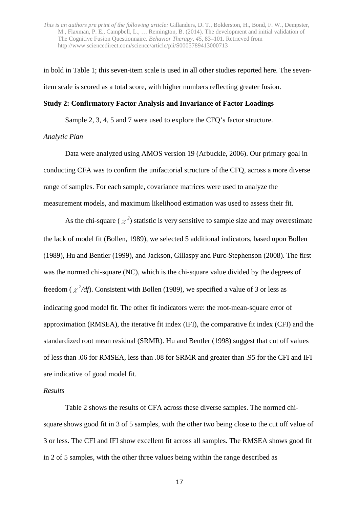in bold in Table 1; this seven-item scale is used in all other studies reported here. The sevenitem scale is scored as a total score, with higher numbers reflecting greater fusion.

#### **Study 2: Confirmatory Factor Analysis and Invariance of Factor Loadings**

Sample 2, 3, 4, 5 and 7 were used to explore the CFQ's factor structure.

#### *Analytic Plan*

Data were analyzed using AMOS version 19 (Arbuckle, 2006). Our primary goal in conducting CFA was to confirm the unifactorial structure of the CFQ, across a more diverse range of samples. For each sample, covariance matrices were used to analyze the measurement models, and maximum likelihood estimation was used to assess their fit.

As the chi-square ( $\chi^2$ ) statistic is very sensitive to sample size and may overestimate the lack of model fit (Bollen, 1989), we selected 5 additional indicators, based upon Bollen (1989), Hu and Bentler (1999), and Jackson, Gillaspy and Purc-Stephenson (2008). The first was the normed chi-square (NC), which is the chi-square value divided by the degrees of freedom ( $\chi^2/df$ ). Consistent with Bollen (1989), we specified a value of 3 or less as indicating good model fit. The other fit indicators were: the root-mean-square error of approximation (RMSEA), the iterative fit index (IFI), the comparative fit index (CFI) and the standardized root mean residual (SRMR). Hu and Bentler (1998) suggest that cut off values of less than .06 for RMSEA, less than .08 for SRMR and greater than .95 for the CFI and IFI are indicative of good model fit.

#### *Results*

Table 2 shows the results of CFA across these diverse samples. The normed chisquare shows good fit in 3 of 5 samples, with the other two being close to the cut off value of 3 or less. The CFI and IFI show excellent fit across all samples. The RMSEA shows good fit in 2 of 5 samples, with the other three values being within the range described as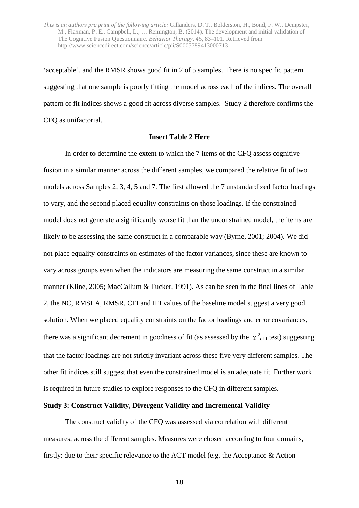'acceptable', and the RMSR shows good fit in 2 of 5 samples. There is no specific pattern suggesting that one sample is poorly fitting the model across each of the indices. The overall pattern of fit indices shows a good fit across diverse samples. Study 2 therefore confirms the CFQ as unifactorial.

#### **Insert Table 2 Here**

In order to determine the extent to which the 7 items of the CFQ assess cognitive fusion in a similar manner across the different samples, we compared the relative fit of two models across Samples 2, 3, 4, 5 and 7. The first allowed the 7 unstandardized factor loadings to vary, and the second placed equality constraints on those loadings. If the constrained model does not generate a significantly worse fit than the unconstrained model, the items are likely to be assessing the same construct in a comparable way (Byrne, 2001; 2004). We did not place equality constraints on estimates of the factor variances, since these are known to vary across groups even when the indicators are measuring the same construct in a similar manner (Kline, 2005; MacCallum & Tucker, 1991). As can be seen in the final lines of Table 2, the NC, RMSEA, RMSR, CFI and IFI values of the baseline model suggest a very good solution. When we placed equality constraints on the factor loadings and error covariances, there was a significant decrement in goodness of fit (as assessed by the  $\chi^2$ <sub>diff</sub> test) suggesting that the factor loadings are not strictly invariant across these five very different samples. The other fit indices still suggest that even the constrained model is an adequate fit. Further work is required in future studies to explore responses to the CFQ in different samples.

# **Study 3: Construct Validity, Divergent Validity and Incremental Validity**

The construct validity of the CFQ was assessed via correlation with different measures, across the different samples. Measures were chosen according to four domains, firstly: due to their specific relevance to the ACT model (e.g. the Acceptance & Action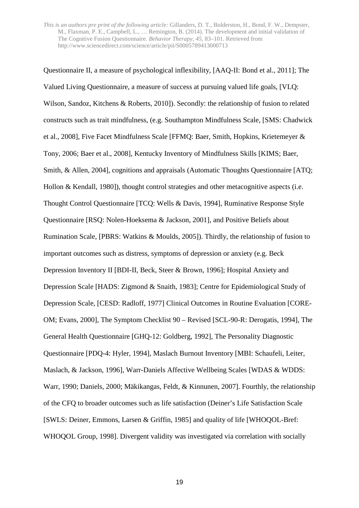Questionnaire II, a measure of psychological inflexibility, [AAQ-II: Bond et al., 2011]; The Valued Living Questionnaire, a measure of success at pursuing valued life goals, [VLQ: Wilson, Sandoz, Kitchens & Roberts, 2010]). Secondly: the relationship of fusion to related constructs such as trait mindfulness, (e.g. Southampton Mindfulness Scale, [SMS: Chadwick et al., 2008], Five Facet Mindfulness Scale [FFMQ: Baer, Smith, Hopkins, Krietemeyer & Tony, 2006; Baer et al., 2008], Kentucky Inventory of Mindfulness Skills [KIMS; Baer, Smith, & Allen, 2004], cognitions and appraisals (Automatic Thoughts Questionnaire [ATQ; Hollon & Kendall, 1980]), thought control strategies and other metacognitive aspects (i.e. Thought Control Questionnaire [TCQ: Wells & Davis, 1994], Ruminative Response Style Questionnaire [RSQ: Nolen-Hoeksema & Jackson, 2001], and Positive Beliefs about Rumination Scale, [PBRS: Watkins & Moulds, 2005]). Thirdly, the relationship of fusion to important outcomes such as distress, symptoms of depression or anxiety (e.g. Beck Depression Inventory II [BDI-II, Beck, Steer & Brown, 1996]; Hospital Anxiety and Depression Scale [HADS: Zigmond & Snaith, 1983]; Centre for Epidemiological Study of Depression Scale, [CESD: Radloff, 1977] Clinical Outcomes in Routine Evaluation [CORE-OM; Evans, 2000], The Symptom Checklist 90 – Revised [SCL-90-R: Derogatis, 1994], The General Health Questionnaire [GHQ-12: Goldberg, 1992], The Personality Diagnostic Questionnaire [PDQ-4: Hyler, 1994], Maslach Burnout Inventory [MBI: Schaufeli, Leiter, Maslach, & Jackson, 1996], Warr-Daniels Affective Wellbeing Scales [WDAS & WDDS: Warr, 1990; Daniels, 2000; Mäkikangas, Feldt, & Kinnunen, 2007]. Fourthly, the relationship of the CFQ to broader outcomes such as life satisfaction (Deiner's Life Satisfaction Scale [SWLS: Deiner, Emmons, Larsen & Griffin, 1985] and quality of life [WHOQOL-Bref: WHOQOL Group, 1998]. Divergent validity was investigated via correlation with socially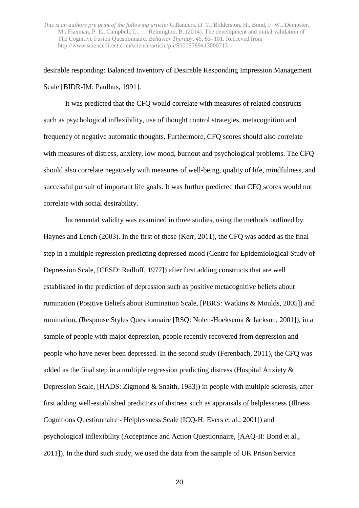desirable responding: Balanced Inventory of Desirable Responding Impression Management Scale [BIDR-IM: Paulhus, 1991].

It was predicted that the CFQ would correlate with measures of related constructs such as psychological inflexibility, use of thought control strategies, metacognition and frequency of negative automatic thoughts. Furthermore, CFQ scores should also correlate with measures of distress, anxiety, low mood, burnout and psychological problems. The CFQ should also correlate negatively with measures of well-being, quality of life, mindfulness, and successful pursuit of important life goals. It was further predicted that CFQ scores would not correlate with social desirability.

Incremental validity was examined in three studies, using the methods outlined by Haynes and Lench (2003). In the first of these (Kerr, 2011), the CFQ was added as the final step in a multiple regression predicting depressed mood (Centre for Epidemiological Study of Depression Scale, [CESD: Radloff, 1977]) after first adding constructs that are well established in the prediction of depression such as positive metacognitive beliefs about rumination (Positive Beliefs about Rumination Scale, [PBRS: Watkins & Moulds, 2005]) and rumination, (Response Styles Questionnaire [RSQ: Nolen-Hoeksema & Jackson, 2001]), in a sample of people with major depression, people recently recovered from depression and people who have never been depressed. In the second study (Ferenbach, 2011), the CFQ was added as the final step in a multiple regression predicting distress (Hospital Anxiety & Depression Scale, [HADS: Zigmond & Snaith, 1983]) in people with multiple sclerosis, after first adding well-established predictors of distress such as appraisals of helplessness (Illness Cognitions Questionnaire - Helplessness Scale [ICQ-H: Evers et al., 2001]) and psychological inflexibility (Acceptance and Action Questionnaire, [AAQ-II: Bond et al., 2011]). In the third such study, we used the data from the sample of UK Prison Service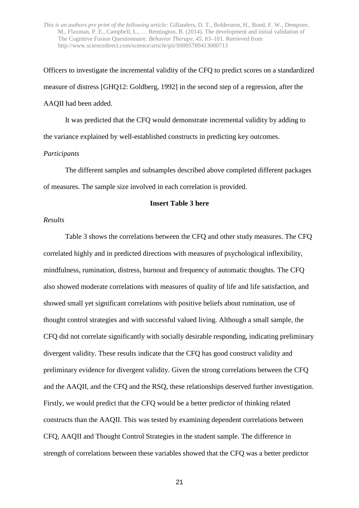Officers to investigate the incremental validity of the CFQ to predict scores on a standardized measure of distress [GHQ12: Goldberg, 1992] in the second step of a regression, after the AAQII had been added.

It was predicted that the CFQ would demonstrate incremental validity by adding to the variance explained by well-established constructs in predicting key outcomes.

#### *Participants*

The different samples and subsamples described above completed different packages of measures. The sample size involved in each correlation is provided.

#### **Insert Table 3 here**

#### *Results*

Table 3 shows the correlations between the CFQ and other study measures. The CFQ correlated highly and in predicted directions with measures of psychological inflexibility, mindfulness, rumination, distress, burnout and frequency of automatic thoughts. The CFQ also showed moderate correlations with measures of quality of life and life satisfaction, and showed small yet significant correlations with positive beliefs about rumination, use of thought control strategies and with successful valued living. Although a small sample, the CFQ did not correlate significantly with socially desirable responding, indicating preliminary divergent validity. These results indicate that the CFQ has good construct validity and preliminary evidence for divergent validity. Given the strong correlations between the CFQ and the AAQII, and the CFQ and the RSQ, these relationships deserved further investigation. Firstly, we would predict that the CFQ would be a better predictor of thinking related constructs than the AAQII. This was tested by examining dependent correlations between CFQ, AAQII and Thought Control Strategies in the student sample. The difference in strength of correlations between these variables showed that the CFQ was a better predictor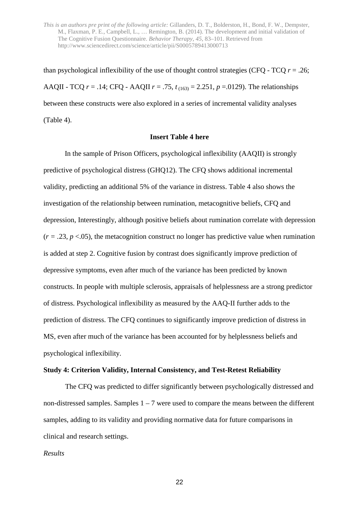than psychological inflexibility of the use of thought control strategies (CFO -  $TCO r = .26$ ; AAQII - TCQ *r* = .14; CFQ - AAQII *r* = .75, *t* (163) = 2.251, *p* =.0129). The relationships between these constructs were also explored in a series of incremental validity analyses (Table 4).

#### **Insert Table 4 here**

In the sample of Prison Officers, psychological inflexibility (AAQII) is strongly predictive of psychological distress (GHQ12). The CFQ shows additional incremental validity, predicting an additional 5% of the variance in distress. Table 4 also shows the investigation of the relationship between rumination, metacognitive beliefs, CFQ and depression, Interestingly, although positive beliefs about rumination correlate with depression  $(r = .23, p < .05)$ , the metacognition construct no longer has predictive value when rumination is added at step 2. Cognitive fusion by contrast does significantly improve prediction of depressive symptoms, even after much of the variance has been predicted by known constructs. In people with multiple sclerosis, appraisals of helplessness are a strong predictor of distress. Psychological inflexibility as measured by the AAQ-II further adds to the prediction of distress. The CFQ continues to significantly improve prediction of distress in MS, even after much of the variance has been accounted for by helplessness beliefs and psychological inflexibility.

# **Study 4: Criterion Validity, Internal Consistency, and Test-Retest Reliability**

The CFQ was predicted to differ significantly between psychologically distressed and non-distressed samples. Samples 1 – 7 were used to compare the means between the different samples, adding to its validity and providing normative data for future comparisons in clinical and research settings.

#### *Results*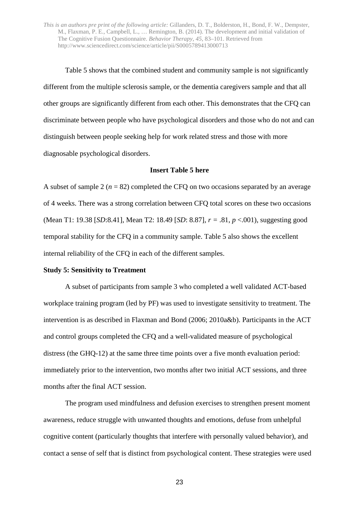Table 5 shows that the combined student and community sample is not significantly different from the multiple sclerosis sample, or the dementia caregivers sample and that all other groups are significantly different from each other. This demonstrates that the CFQ can discriminate between people who have psychological disorders and those who do not and can distinguish between people seeking help for work related stress and those with more diagnosable psychological disorders.

#### **Insert Table 5 here**

A subset of sample 2  $(n = 82)$  completed the CFQ on two occasions separated by an average of 4 weeks. There was a strong correlation between CFQ total scores on these two occasions (Mean T1: 19.38 [*SD*:8.41], Mean T2: 18.49 [*SD*: 8.87], *r =* .81, *p* <.001), suggesting good temporal stability for the CFQ in a community sample. Table 5 also shows the excellent internal reliability of the CFQ in each of the different samples.

# **Study 5: Sensitivity to Treatment**

A subset of participants from sample 3 who completed a well validated ACT-based workplace training program (led by PF) was used to investigate sensitivity to treatment. The intervention is as described in Flaxman and Bond (2006; 2010a&b). Participants in the ACT and control groups completed the CFQ and a well-validated measure of psychological distress (the GHQ-12) at the same three time points over a five month evaluation period: immediately prior to the intervention, two months after two initial ACT sessions, and three months after the final ACT session.

The program used mindfulness and defusion exercises to strengthen present moment awareness, reduce struggle with unwanted thoughts and emotions, defuse from unhelpful cognitive content (particularly thoughts that interfere with personally valued behavior), and contact a sense of self that is distinct from psychological content. These strategies were used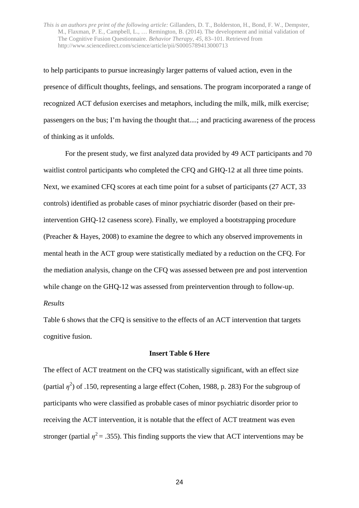to help participants to pursue increasingly larger patterns of valued action, even in the presence of difficult thoughts, feelings, and sensations. The program incorporated a range of recognized ACT defusion exercises and metaphors, including the milk, milk, milk exercise; passengers on the bus; I'm having the thought that....; and practicing awareness of the process of thinking as it unfolds.

For the present study, we first analyzed data provided by 49 ACT participants and 70 waitlist control participants who completed the CFQ and GHQ-12 at all three time points. Next, we examined CFQ scores at each time point for a subset of participants (27 ACT, 33 controls) identified as probable cases of minor psychiatric disorder (based on their preintervention GHQ-12 caseness score). Finally, we employed a bootstrapping procedure (Preacher & Hayes, 2008) to examine the degree to which any observed improvements in mental heath in the ACT group were statistically mediated by a reduction on the CFQ. For the mediation analysis, change on the CFQ was assessed between pre and post intervention while change on the GHQ-12 was assessed from preintervention through to follow-up.

#### *Results*

Table 6 shows that the CFQ is sensitive to the effects of an ACT intervention that targets cognitive fusion.

#### **Insert Table 6 Here**

The effect of ACT treatment on the CFQ was statistically significant, with an effect size (partial  $\eta^2$ ) of .150, representing a large effect (Cohen, 1988, p. 283) For the subgroup of participants who were classified as probable cases of minor psychiatric disorder prior to receiving the ACT intervention, it is notable that the effect of ACT treatment was even stronger (partial  $\eta^2$  = .355). This finding supports the view that ACT interventions may be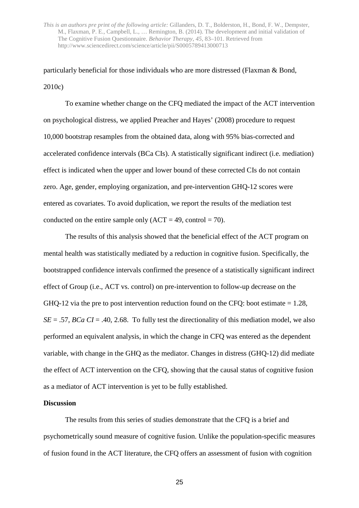particularly beneficial for those individuals who are more distressed (Flaxman & Bond, 2010c)

To examine whether change on the CFQ mediated the impact of the ACT intervention on psychological distress, we applied Preacher and Hayes' (2008) procedure to request 10,000 bootstrap resamples from the obtained data, along with 95% bias-corrected and accelerated confidence intervals (BCa CIs). A statistically significant indirect (i.e. mediation) effect is indicated when the upper and lower bound of these corrected CIs do not contain zero. Age, gender, employing organization, and pre-intervention GHQ-12 scores were entered as covariates. To avoid duplication, we report the results of the mediation test conducted on the entire sample only  $(ACT = 49, \text{control} = 70)$ .

The results of this analysis showed that the beneficial effect of the ACT program on mental health was statistically mediated by a reduction in cognitive fusion. Specifically, the bootstrapped confidence intervals confirmed the presence of a statistically significant indirect effect of Group (i.e., ACT vs. control) on pre-intervention to follow-up decrease on the GHQ-12 via the pre to post intervention reduction found on the CFQ: boot estimate  $= 1.28$ , *SE* = .57, *BCa CI* = .40, 2.68. To fully test the directionality of this mediation model, we also performed an equivalent analysis, in which the change in CFQ was entered as the dependent variable, with change in the GHQ as the mediator. Changes in distress (GHQ-12) did mediate the effect of ACT intervention on the CFQ, showing that the causal status of cognitive fusion as a mediator of ACT intervention is yet to be fully established.

#### **Discussion**

The results from this series of studies demonstrate that the CFQ is a brief and psychometrically sound measure of cognitive fusion. Unlike the population-specific measures of fusion found in the ACT literature, the CFQ offers an assessment of fusion with cognition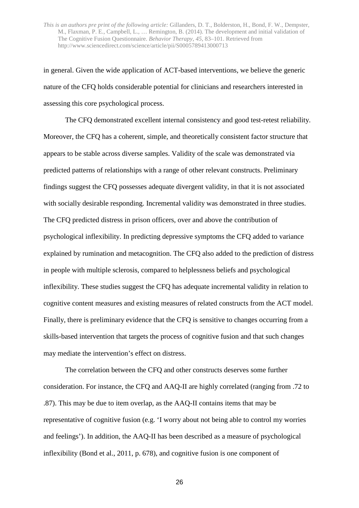in general. Given the wide application of ACT-based interventions, we believe the generic nature of the CFQ holds considerable potential for clinicians and researchers interested in assessing this core psychological process.

The CFQ demonstrated excellent internal consistency and good test-retest reliability. Moreover, the CFQ has a coherent, simple, and theoretically consistent factor structure that appears to be stable across diverse samples. Validity of the scale was demonstrated via predicted patterns of relationships with a range of other relevant constructs. Preliminary findings suggest the CFQ possesses adequate divergent validity, in that it is not associated with socially desirable responding. Incremental validity was demonstrated in three studies. The CFQ predicted distress in prison officers, over and above the contribution of psychological inflexibility. In predicting depressive symptoms the CFQ added to variance explained by rumination and metacognition. The CFQ also added to the prediction of distress in people with multiple sclerosis, compared to helplessness beliefs and psychological inflexibility. These studies suggest the CFQ has adequate incremental validity in relation to cognitive content measures and existing measures of related constructs from the ACT model. Finally, there is preliminary evidence that the CFQ is sensitive to changes occurring from a skills-based intervention that targets the process of cognitive fusion and that such changes may mediate the intervention's effect on distress.

The correlation between the CFQ and other constructs deserves some further consideration. For instance, the CFQ and AAQ-II are highly correlated (ranging from .72 to .87). This may be due to item overlap, as the AAQ-II contains items that may be representative of cognitive fusion (e.g. 'I worry about not being able to control my worries and feelings'). In addition, the AAQ-II has been described as a measure of psychological inflexibility (Bond et al., 2011, p. 678), and cognitive fusion is one component of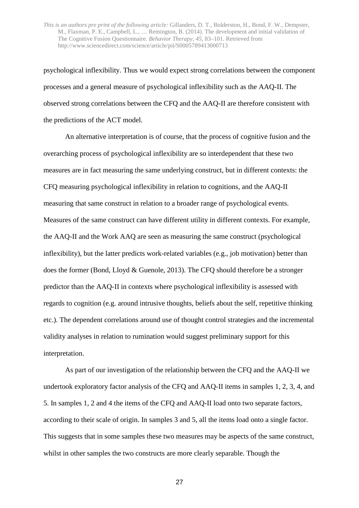psychological inflexibility. Thus we would expect strong correlations between the component processes and a general measure of psychological inflexibility such as the AAQ-II. The observed strong correlations between the CFQ and the AAQ-II are therefore consistent with the predictions of the ACT model.

An alternative interpretation is of course, that the process of cognitive fusion and the overarching process of psychological inflexibility are so interdependent that these two measures are in fact measuring the same underlying construct, but in different contexts: the CFQ measuring psychological inflexibility in relation to cognitions, and the AAQ-II measuring that same construct in relation to a broader range of psychological events. Measures of the same construct can have different utility in different contexts. For example, the AAQ-II and the Work AAQ are seen as measuring the same construct (psychological inflexibility), but the latter predicts work-related variables (e.g., job motivation) better than does the former (Bond, Lloyd & Guenole, 2013). The CFQ should therefore be a stronger predictor than the AAQ-II in contexts where psychological inflexibility is assessed with regards to cognition (e.g. around intrusive thoughts, beliefs about the self, repetitive thinking etc.). The dependent correlations around use of thought control strategies and the incremental validity analyses in relation to rumination would suggest preliminary support for this interpretation.

As part of our investigation of the relationship between the CFQ and the AAQ-II we undertook exploratory factor analysis of the CFQ and AAQ-II items in samples 1, 2, 3, 4, and 5. In samples 1, 2 and 4 the items of the CFQ and AAQ-II load onto two separate factors, according to their scale of origin. In samples 3 and 5, all the items load onto a single factor. This suggests that in some samples these two measures may be aspects of the same construct, whilst in other samples the two constructs are more clearly separable. Though the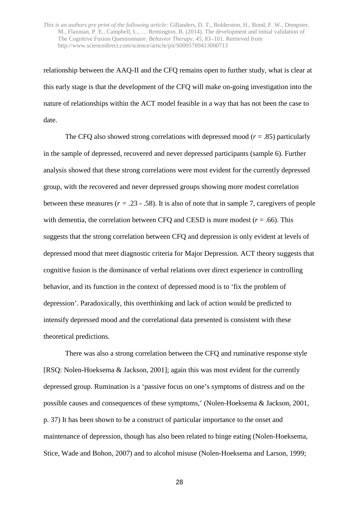relationship between the AAQ-II and the CFQ remains open to further study, what is clear at this early stage is that the development of the CFQ will make on-going investigation into the nature of relationships within the ACT model feasible in a way that has not been the case to date.

The CFO also showed strong correlations with depressed mood  $(r = .85)$  particularly in the sample of depressed, recovered and never depressed participants (sample 6). Further analysis showed that these strong correlations were most evident for the currently depressed group, with the recovered and never depressed groups showing more modest correlation between these measures  $(r = .23 - .58)$ . It is also of note that in sample 7, caregivers of people with dementia, the correlation between CFQ and CESD is more modest  $(r = .66)$ . This suggests that the strong correlation between CFQ and depression is only evident at levels of depressed mood that meet diagnostic criteria for Major Depression. ACT theory suggests that cognitive fusion is the dominance of verbal relations over direct experience in controlling behavior, and its function in the context of depressed mood is to 'fix the problem of depression'. Paradoxically, this overthinking and lack of action would be predicted to intensify depressed mood and the correlational data presented is consistent with these theoretical predictions.

There was also a strong correlation between the CFQ and ruminative response style [RSQ: Nolen-Hoeksema & Jackson, 2001]; again this was most evident for the currently depressed group. Rumination is a 'passive focus on one's symptoms of distress and on the possible causes and consequences of these symptoms,' (Nolen-Hoeksema & Jackson, 2001, p. 37) It has been shown to be a construct of particular importance to the onset and maintenance of depression, though has also been related to binge eating (Nolen-Hoeksema, Stice, Wade and Bohon, 2007) and to alcohol misuse (Nolen-Hoeksema and Larson, 1999;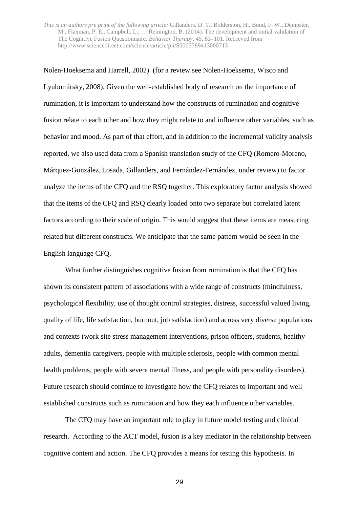Nolen-Hoeksema and Harrell, 2002) (for a review see Nolen-Hoeksema, Wisco and Lyubomirsky, 2008). Given the well-established body of research on the importance of rumination, it is important to understand how the constructs of rumination and cognitive fusion relate to each other and how they might relate to and influence other variables, such as behavior and mood. As part of that effort, and in addition to the incremental validity analysis reported, we also used data from a Spanish translation study of the CFQ (Romero-Moreno, Márquez-González, Losada, Gillanders, and Fernández-Fernández, under review) to factor analyze the items of the CFQ and the RSQ together. This exploratory factor analysis showed that the items of the CFQ and RSQ clearly loaded onto two separate but correlated latent factors according to their scale of origin. This would suggest that these items are measuring related but different constructs. We anticipate that the same pattern would be seen in the English language CFQ.

What further distinguishes cognitive fusion from rumination is that the CFQ has shown its consistent pattern of associations with a wide range of constructs (mindfulness, psychological flexibility, use of thought control strategies, distress, successful valued living, quality of life, life satisfaction, burnout, job satisfaction) and across very diverse populations and contexts (work site stress management interventions, prison officers, students, healthy adults, dementia caregivers, people with multiple sclerosis, people with common mental health problems, people with severe mental illness, and people with personality disorders). Future research should continue to investigate how the CFQ relates to important and well established constructs such as rumination and how they each influence other variables.

The CFQ may have an important role to play in future model testing and clinical research. According to the ACT model, fusion is a key mediator in the relationship between cognitive content and action. The CFQ provides a means for testing this hypothesis. In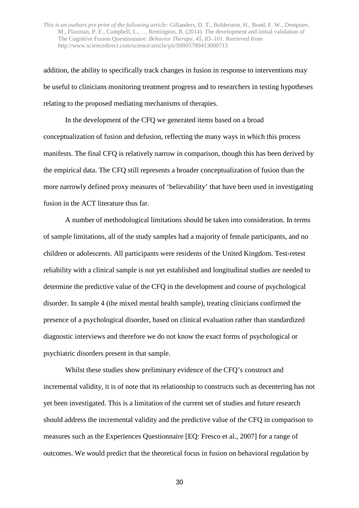addition, the ability to specifically track changes in fusion in response to interventions may be useful to clinicians monitoring treatment progress and to researchers in testing hypotheses relating to the proposed mediating mechanisms of therapies.

In the development of the CFQ we generated items based on a broad conceptualization of fusion and defusion, reflecting the many ways in which this process manifests. The final CFQ is relatively narrow in comparison, though this has been derived by the empirical data. The CFQ still represents a broader conceptualization of fusion than the more narrowly defined proxy measures of 'believability' that have been used in investigating fusion in the ACT literature thus far.

A number of methodological limitations should be taken into consideration. In terms of sample limitations, all of the study samples had a majority of female participants, and no children or adolescents. All participants were residents of the United Kingdom. Test-retest reliability with a clinical sample is not yet established and longitudinal studies are needed to determine the predictive value of the CFQ in the development and course of psychological disorder. In sample 4 (the mixed mental health sample), treating clinicians confirmed the presence of a psychological disorder, based on clinical evaluation rather than standardized diagnostic interviews and therefore we do not know the exact forms of psychological or psychiatric disorders present in that sample.

Whilst these studies show preliminary evidence of the CFQ's construct and incremental validity, it is of note that its relationship to constructs such as decentering has not yet been investigated. This is a limitation of the current set of studies and future research should address the incremental validity and the predictive value of the CFQ in comparison to measures such as the Experiences Questionnaire [EQ: Fresco et al., 2007] for a range of outcomes. We would predict that the theoretical focus in fusion on behavioral regulation by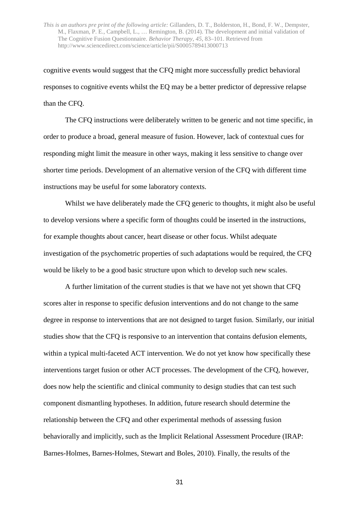cognitive events would suggest that the CFQ might more successfully predict behavioral responses to cognitive events whilst the EQ may be a better predictor of depressive relapse than the CFQ.

The CFQ instructions were deliberately written to be generic and not time specific, in order to produce a broad, general measure of fusion. However, lack of contextual cues for responding might limit the measure in other ways, making it less sensitive to change over shorter time periods. Development of an alternative version of the CFQ with different time instructions may be useful for some laboratory contexts.

Whilst we have deliberately made the CFO generic to thoughts, it might also be useful to develop versions where a specific form of thoughts could be inserted in the instructions, for example thoughts about cancer, heart disease or other focus. Whilst adequate investigation of the psychometric properties of such adaptations would be required, the CFQ would be likely to be a good basic structure upon which to develop such new scales.

A further limitation of the current studies is that we have not yet shown that CFQ scores alter in response to specific defusion interventions and do not change to the same degree in response to interventions that are not designed to target fusion. Similarly, our initial studies show that the CFQ is responsive to an intervention that contains defusion elements, within a typical multi-faceted ACT intervention. We do not yet know how specifically these interventions target fusion or other ACT processes. The development of the CFQ, however, does now help the scientific and clinical community to design studies that can test such component dismantling hypotheses. In addition, future research should determine the relationship between the CFQ and other experimental methods of assessing fusion behaviorally and implicitly, such as the Implicit Relational Assessment Procedure (IRAP: Barnes-Holmes, Barnes-Holmes, Stewart and Boles, 2010). Finally, the results of the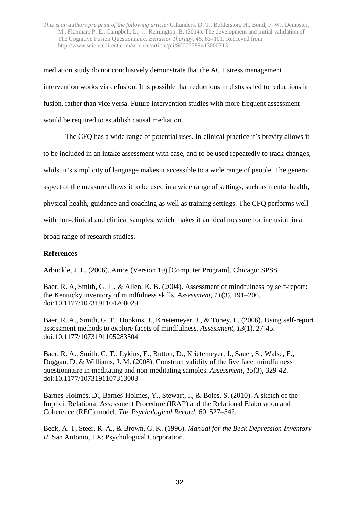mediation study do not conclusively demonstrate that the ACT stress management intervention works via defusion. It is possible that reductions in distress led to reductions in fusion, rather than vice versa. Future intervention studies with more frequent assessment would be required to establish causal mediation.

The CFQ has a wide range of potential uses. In clinical practice it's brevity allows it to be included in an intake assessment with ease, and to be used repeatedly to track changes, whilst it's simplicity of language makes it accessible to a wide range of people. The generic aspect of the measure allows it to be used in a wide range of settings, such as mental health, physical health, guidance and coaching as well as training settings. The CFQ performs well with non-clinical and clinical samples, which makes it an ideal measure for inclusion in a broad range of research studies.

# **References**

Arbuckle, J. L. (2006). Amos (Version 19) [Computer Program]. Chicago: SPSS.

Baer, R. A, Smith, G. T., & Allen, K. B. (2004). Assessment of mindfulness by self-report: the Kentucky inventory of mindfulness skills. *Assessment*, *11*(3), 191–206. doi:10.1177/1073191104268029

Baer, R. A., Smith, G. T., Hopkins, J., Krietemeyer, J., & Toney, L. (2006). Using self-report assessment methods to explore facets of mindfulness. *Assessment*, *13*(1), 27-45. doi:10.1177/1073191105283504

Baer, R. A., Smith, G. T., Lykins, E., Button, D., Krietemeyer, J., Sauer, S., Walse, E., Duggan, D, & Williams, J. M. (2008). Construct validity of the five facet mindfulness questionnaire in meditating and non-meditating samples. *Assessment*, *15*(3), 329-42. doi:10.1177/1073191107313003

Barnes-Holmes, D., Barnes-Holmes, Y., Stewart, I., & Boles, S. (2010). A sketch of the Implicit Relational Assessment Procedure (IRAP) and the Relational Elaboration and Coherence (REC) model. *The Psychological Record*, 60, 527–542.

Beck, A. T, Steer, R. A., & Brown, G. K. (1996). *Manual for the Beck Depression Inventory-II*. San Antonio, TX: Psychological Corporation.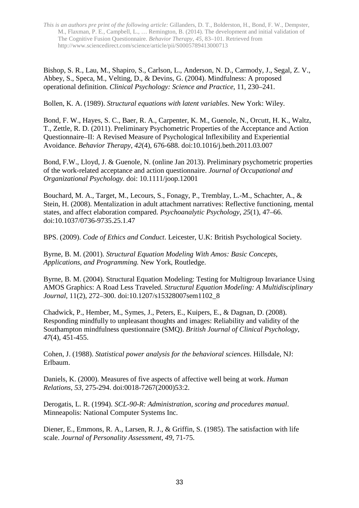Bishop, S. R., Lau, M., Shapiro, S., Carlson, L., Anderson, N. D., Carmody, J., Segal, Z. V., Abbey, S., Speca, M., Velting, D., & Devins, G. (2004). Mindfulness: A proposed operational definition. *Clinical Psychology: Science and Practice*, 11, 230–241.

Bollen, K. A. (1989). *Structural equations with latent variables*. New York: Wiley.

Bond, F. W., Hayes, S. C., Baer, R. A., Carpenter, K. M., Guenole, N., Orcutt, H. K., Waltz, T., Zettle, R. D. (2011). Preliminary Psychometric Properties of the Acceptance and Action Questionnaire–II: A Revised Measure of Psychological Inflexibility and Experiential Avoidance. *Behavior Therapy*, *42*(4), 676-688. doi:10.1016/j.beth.2011.03.007

Bond, F.W., Lloyd, J. & Guenole, N. (online Jan 2013). Preliminary psychometric properties of the work-related acceptance and action questionnaire. *Journal of Occupational and Organizational Psychology.* doi: 10.1111/joop.12001

Bouchard, M. A., Target, M., Lecours, S., Fonagy, P., Tremblay, L.-M., Schachter, A., & Stein, H. (2008). Mentalization in adult attachment narratives: Reflective functioning, mental states, and affect elaboration compared. *Psychoanalytic Psychology*, *25*(1), 47–66. doi:10.1037/0736-9735.25.1.47

BPS. (2009). *Code of Ethics and Conduct*. Leicester, U.K: British Psychological Society.

Byrne, B. M. (2001). *Structural Equation Modeling With Amos: Basic Concepts, Applications, and Programming.* New York, Routledge.

Byrne, B. M. (2004). Structural Equation Modeling: Testing for Multigroup Invariance Using AMOS Graphics: A Road Less Traveled. *Structural Equation Modeling: A Multidisciplinary Journal*, 11(2), 272–300. doi:10.1207/s15328007sem1102\_8

Chadwick, P., Hember, M., Symes, J., Peters, E., Kuipers, E., & Dagnan, D. (2008). Responding mindfully to unpleasant thoughts and images: Reliability and validity of the Southampton mindfulness questionnaire (SMQ). *British Journal of Clinical Psychology*, *47*(4), 451-455.

Cohen, J. (1988). *Statistical power analysis for the behavioral sciences*. Hillsdale, NJ: Erlbaum.

Daniels, K. (2000). Measures of five aspects of affective well being at work. *Human Relations*, *53*, 275-294. doi:0018-7267(2000)53:2.

Derogatis, L. R. (1994). *SCL-90-R: Administration, scoring and procedures manual*. Minneapolis: National Computer Systems Inc.

Diener, E., Emmons, R. A., Larsen, R. J., & Griffin, S. (1985). The satisfaction with life scale. *Journal of Personality Assessment*, *49*, 71-75.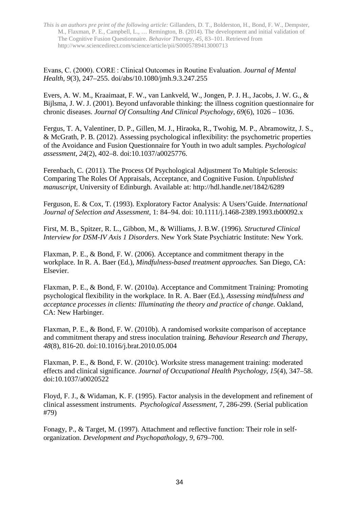Evans, C. (2000). CORE : Clinical Outcomes in Routine Evaluation. *Journal of Mental Health*, *9*(3), 247–255. doi/abs/10.1080/jmh.9.3.247.255

Evers, A. W. M., Kraaimaat, F. W., van Lankveld, W., Jongen, P. J. H., Jacobs, J. W. G., & Bijlsma, J. W. J. (2001). Beyond unfavorable thinking: the illness cognition questionnaire for chronic diseases. *Journal Of Consulting And Clinical Psychology, 69*(6), 1026 – 1036.

Fergus, T. A, Valentiner, D. P., Gillen, M. J., Hiraoka, R., Twohig, M. P., Abramowitz, J. S., & McGrath, P. B. (2012). Assessing psychological inflexibility: the psychometric properties of the Avoidance and Fusion Questionnaire for Youth in two adult samples. *Psychological assessment*, *24*(2), 402–8. doi:10.1037/a0025776.

Ferenbach, C. (2011). The Process Of Psychological Adjustment To Multiple Sclerosis: Comparing The Roles Of Appraisals, Acceptance, and Cognitive Fusion. *Unpublished manuscript,* University of Edinburgh. Available at: http://hdl.handle.net/1842/6289

Ferguson, E. & Cox, T. (1993). Exploratory Factor Analysis: A Users'Guide. *International Journal of Selection and Assessment*, 1: 84–94. doi: 10.1111/j.1468-2389.1993.tb00092.x

First, M. B., Spitzer, R. L., Gibbon, M., & Williams, J. B.W. (1996). *Structured Clinical Interview for DSM-IV Axis 1 Disorders*. New York State Psychiatric Institute: New York.

Flaxman, P. E., & Bond, F. W. (2006). Acceptance and commitment therapy in the workplace. In R. A. Baer (Ed.), *Mindfulness-based treatment approaches.* San Diego, CA: Elsevier.

Flaxman, P. E., & Bond, F. W. (2010a). Acceptance and Commitment Training: Promoting psychological flexibility in the workplace. In R. A. Baer (Ed.), *Assessing mindfulness and acceptance processes in clients: Illuminating the theory and practice of change*. Oakland, CA: New Harbinger.

Flaxman, P. E., & Bond, F. W. (2010b). A randomised worksite comparison of acceptance and commitment therapy and stress inoculation training. *Behaviour Research and Therapy*, *48*(8), 816-20. doi:10.1016/j.brat.2010.05.004

Flaxman, P. E., & Bond, F. W. (2010c). Worksite stress management training: moderated effects and clinical significance. *Journal of Occupational Health Psychology*, *15*(4), 347–58. doi:10.1037/a0020522

Floyd, F. J., & Widaman, K. F. (1995). Factor analysis in the development and refinement of clinical assessment instruments. *Psychological Assessment*, 7, 286-299. (Serial publication #79)

Fonagy, P., & Target, M. (1997). Attachment and reflective function: Their role in selforganization. *Development and Psychopathology, 9,* 679–700.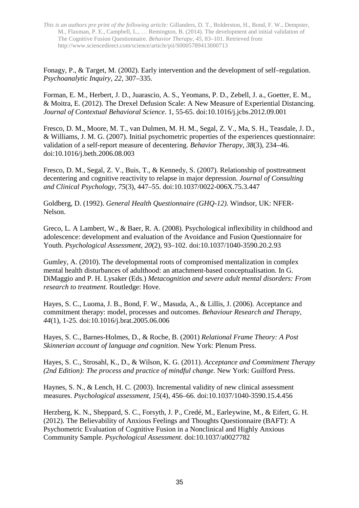Fonagy, P., & Target, M. (2002). Early intervention and the development of self–regulation. *Psychoanalytic Inquiry, 22,* 307–335.

Forman, E. M., Herbert, J. D., Juarascio, A. S., Yeomans, P. D., Zebell, J. a., Goetter, E. M., & Moitra, E. (2012). The Drexel Defusion Scale: A New Measure of Experiential Distancing. *Journal of Contextual Behavioral Science*. 1, 55-65. doi:10.1016/j.jcbs.2012.09.001

Fresco, D. M., Moore, M. T., van Dulmen, M. H. M., Segal, Z. V., Ma, S. H., Teasdale, J. D., & Williams, J. M. G. (2007). Initial psychometric properties of the experiences questionnaire: validation of a self-report measure of decentering. *Behavior Therapy*, *38*(3), 234–46. doi:10.1016/j.beth.2006.08.003

Fresco, D. M., Segal, Z. V., Buis, T., & Kennedy, S. (2007). Relationship of posttreatment decentering and cognitive reactivity to relapse in major depression. *Journal of Consulting and Clinical Psychology*, *75*(3), 447–55. doi:10.1037/0022-006X.75.3.447

Goldberg, D. (1992). *General Health Questionnaire (GHQ-12)*. Windsor, UK: NFER-Nelson.

Greco, L. A Lambert, W., & Baer, R. A. (2008). Psychological inflexibility in childhood and adolescence: development and evaluation of the Avoidance and Fusion Questionnaire for Youth. *Psychological Assessment*, *20*(2), 93–102. doi:10.1037/1040-3590.20.2.93

Gumley, A. (2010). The developmental roots of compromised mentalization in complex mental health disturbances of adulthood: an attachment-based conceptualisation. In G. DiMaggio and P. H. Lysaker (Eds.) *Metacognition and severe adult mental disorders: From research to treatment.* Routledge: Hove.

Hayes, S. C., Luoma, J. B., Bond, F. W., Masuda, A., & Lillis, J. (2006). Acceptance and commitment therapy: model, processes and outcomes. *Behaviour Research and Therapy*, *44*(1), 1-25. doi:10.1016/j.brat.2005.06.006

Hayes, S. C., Barnes-Holmes, D., & Roche, B. (2001) *Relational Frame Theory: A Post Skinnerian account of language and cognition.* New York: Plenum Press.

Hayes, S. C., Strosahl, K., D., & Wilson, K. G. (2011). *Acceptance and Commitment Therapy (2nd Edition): The process and practice of mindful change*. New York: Guilford Press.

Haynes, S. N., & Lench, H. C. (2003). Incremental validity of new clinical assessment measures. *Psychological assessment*, *15*(4), 456–66. doi:10.1037/1040-3590.15.4.456

Herzberg, K. N., Sheppard, S. C., Forsyth, J. P., Credé, M., Earleywine, M., & Eifert, G. H. (2012). The Believability of Anxious Feelings and Thoughts Questionnaire (BAFT): A Psychometric Evaluation of Cognitive Fusion in a Nonclinical and Highly Anxious Community Sample. *Psychological Assessment*. doi:10.1037/a0027782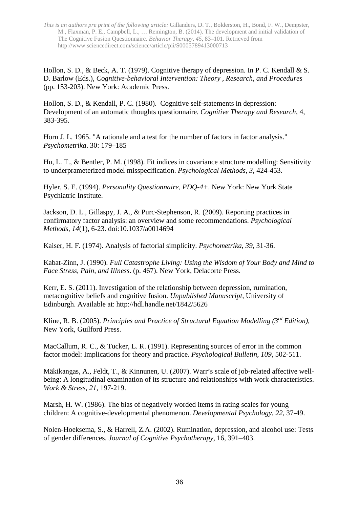Hollon, S. D., & Beck, A. T. (1979). Cognitive therapy of depression. In P. C. Kendall & S. D. Barlow (Eds.), *Cognitive-behavioral Intervention: Theory , Research, and Procedures* (pp. 153-203). New York: Academic Press.

Hollon, S. D., & Kendall, P. C. (1980). Cognitive self-statements in depression: Development of an automatic thoughts questionnaire. *Cognitive Therapy and Research*, 4, 383-395.

Horn J. L. 1965. "A rationale and a test for the number of factors in factor analysis." *Psychometrika*. 30: 179–185

Hu, L. T., & Bentler, P. M. (1998). Fit indices in covariance structure modelling: Sensitivity to underprameterized model misspecification. *Psychological Methods*, *3*, 424-453.

Hyler, S. E. (1994). *Personality Questionnaire, PDQ-4+*. New York: New York State Psychiatric Institute.

Jackson, D. L., Gillaspy, J. A., & Purc-Stephenson, R. (2009). Reporting practices in confirmatory factor analysis: an overview and some recommendations. *Psychological Methods*, *14*(1), 6-23. doi:10.1037/a0014694

Kaiser, H. F. (1974). Analysis of factorial simplicity. *Psychometrika*, *39*, 31-36.

Kabat-Zinn, J. (1990). *Full Catastrophe Living: Using the Wisdom of Your Body and Mind to Face Stress, Pain, and Illness*. (p. 467). New York, Delacorte Press.

Kerr, E. S. (2011). Investigation of the relationship between depression, rumination, metacognitive beliefs and cognitive fusion. *Unpublished Manuscript,* University of Edinburgh. Available at: http://hdl.handle.net/1842/5626

Kline, R. B. (2005). *Principles and Practice of Structural Equation Modelling (3rd Edition),* New York, Guilford Press.

MacCallum, R. C., & Tucker, L. R. (1991). Representing sources of error in the common factor model: Implications for theory and practice. *Psychological Bulletin*, *109*, 502-511.

Mäkikangas, A., Feldt, T., & Kinnunen, U. (2007). Warr's scale of job-related affective wellbeing: A longitudinal examination of its structure and relationships with work characteristics. *Work & Stress, 21*, 197-219.

Marsh, H. W. (1986). The bias of negatively worded items in rating scales for young children: A cognitive-developmental phenomenon. *Developmental Psychology*, *22*, 37-49.

Nolen-Hoeksema, S., & Harrell, Z.A. (2002). Rumination, depression, and alcohol use: Tests of gender differences. *Journal of Cognitive Psychotherapy*, 16, 391–403.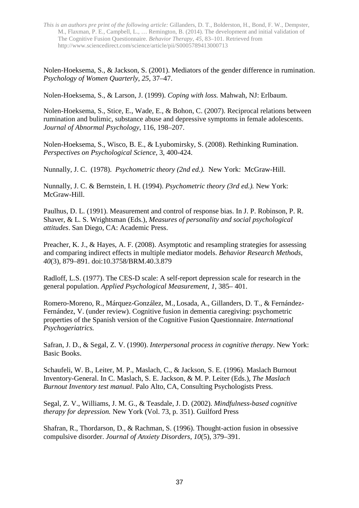Nolen-Hoeksema, S., & Jackson, S. (2001). Mediators of the gender difference in rumination. *Psychology of Women Quarterly*, *25*, 37–47.

Nolen-Hoeksema, S., & Larson, J. (1999). *Coping with loss.* Mahwah, NJ: Erlbaum.

Nolen-Hoeksema, S., Stice, E., Wade, E., & Bohon, C. (2007). Reciprocal relations between rumination and bulimic, substance abuse and depressive symptoms in female adolescents. *Journal of Abnormal Psychology*, 116, 198–207.

Nolen-Hoeksema, S., Wisco, B. E., & Lyubomirsky, S. (2008). Rethinking Rumination. *Perspectives on Psychological Science,* 3, 400-424.

Nunnally, J. C. (1978). *Psychometric theory (2nd ed.).* New York: McGraw-Hill.

Nunnally, J. C. & Bernstein, I. H. (1994). *Psychometric theory (3rd ed.).* New York: McGraw-Hill.

Paulhus, D. L. (1991). Measurement and control of response bias. In J. P. Robinson, P. R. Shaver, & L. S. Wrightsman (Eds.), *Measures of personality and social psychological attitudes*. San Diego, CA: Academic Press.

Preacher, K. J., & Hayes, A. F. (2008). Asymptotic and resampling strategies for assessing and comparing indirect effects in multiple mediator models. *Behavior Research Methods*, *40*(3), 879–891. doi:10.3758/BRM.40.3.879

Radloff, L.S. (1977). The CES-D scale: A self-report depression scale for research in the general population. *Applied Psychological Measurement*, *1*, 385– 401.

Romero-Moreno, R., Márquez-González, M., Losada, A., Gillanders, D. T., & Fernández-Fernández, V. (under review). Cognitive fusion in dementia caregiving: psychometric properties of the Spanish version of the Cognitive Fusion Questionnaire. *International Psychogeriatrics.*

Safran, J. D., & Segal, Z. V. (1990). *Interpersonal process in cognitive therapy*. New York: Basic Books.

Schaufeli, W. B., Leiter, M. P., Maslach, C., & Jackson, S. E. (1996). Maslach Burnout Inventory-General. In C. Maslach, S. E. Jackson, & M. P. Leiter (Eds.), *The Maslach Burnout Inventory test manual*. Palo Alto, CA, Consulting Psychologists Press.

Segal, Z. V., Williams, J. M. G., & Teasdale, J. D. (2002). *Mindfulness-based cognitive therapy for depression.* New York (Vol. 73, p. 351). Guilford Press

Shafran, R., Thordarson, D., & Rachman, S. (1996). Thought-action fusion in obsessive compulsive disorder. *Journal of Anxiety Disorders*, *10*(5), 379–391.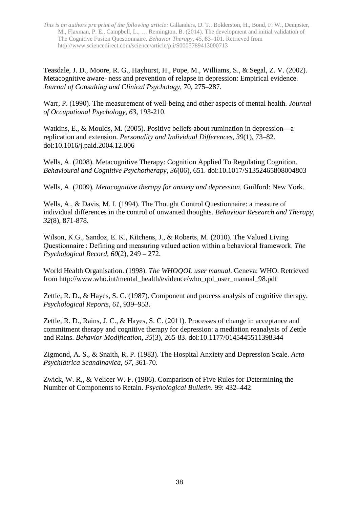Teasdale, J. D., Moore, R. G., Hayhurst, H., Pope, M., Williams, S., & Segal, Z. V. (2002). Metacognitive aware- ness and prevention of relapse in depression: Empirical evidence. *Journal of Consulting and Clinical Psychology*, 70, 275–287.

Warr, P. (1990). The measurement of well-being and other aspects of mental health. *Journal of Occupational Psychology, 63*, 193-210.

Watkins, E., & Moulds, M. (2005). Positive beliefs about rumination in depression—a replication and extension. *Personality and Individual Differences*, *39*(1), 73–82. doi:10.1016/j.paid.2004.12.006

Wells, A. (2008). Metacognitive Therapy: Cognition Applied To Regulating Cognition. *Behavioural and Cognitive Psychotherapy*, *36*(06), 651. doi:10.1017/S1352465808004803

Wells, A. (2009)*. Metacognitive therapy for anxiety and depression*. Guilford: New York.

Wells, A., & Davis, M. I. (1994). The Thought Control Questionnaire: a measure of individual differences in the control of unwanted thoughts. *Behaviour Research and Therapy*, *32*(8), 871-878.

Wilson, K.G., Sandoz, E. K., Kitchens, J., & Roberts, M. (2010). The Valued Living Questionnaire : Defining and measuring valued action within a behavioral framework. *The Psychological Record*, *60*(2), 249 – 272.

World Health Organisation. (1998). *The WHOQOL user manual*. Geneva: WHO. Retrieved from http://www.who.int/mental\_health/evidence/who\_qol\_user\_manual\_98.pdf

Zettle, R. D., & Hayes, S. C. (1987). Component and process analysis of cognitive therapy. *Psychological Reports*, *61*, 939–953.

Zettle, R. D., Rains, J. C., & Hayes, S. C. (2011). Processes of change in acceptance and commitment therapy and cognitive therapy for depression: a mediation reanalysis of Zettle and Rains. *Behavior Modification*, *35*(3), 265-83. doi:10.1177/0145445511398344

Zigmond, A. S., & Snaith, R. P. (1983). The Hospital Anxiety and Depression Scale. *Acta Psychiatrica Scandinavica*, *67*, 361-70.

Zwick, W. R., & Velicer W. F. (1986). Comparison of Five Rules for Determining the Number of Components to Retain. *Psychological Bulletin*. 99: 432–442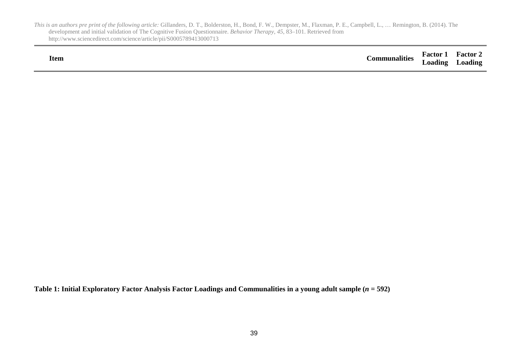| <b>Communalities Factor 1 Factor 2</b><br>Loading Loading<br><b>Item</b> |  |
|--------------------------------------------------------------------------|--|
|--------------------------------------------------------------------------|--|

**Table 1: Initial Exploratory Factor Analysis Factor Loadings and Communalities in a young adult sample (***n* **= 592)**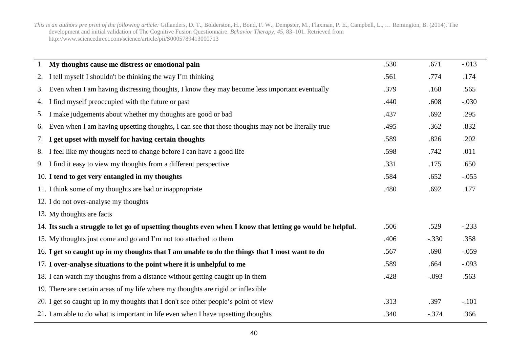|    | 1. My thoughts cause me distress or emotional pain                                                         | .530 | .671    | $-.013$ |
|----|------------------------------------------------------------------------------------------------------------|------|---------|---------|
|    | 2. I tell myself I shouldn't be thinking the way I'm thinking                                              | .561 | .774    | .174    |
|    | 3. Even when I am having distressing thoughts, I know they may become less important eventually            | .379 | .168    | .565    |
|    | 4. I find myself preoccupied with the future or past                                                       | .440 | .608    | $-.030$ |
| 5. | I make judgements about whether my thoughts are good or bad                                                | .437 | .692    | .295    |
| 6. | Even when I am having upsetting thoughts, I can see that those thoughts may not be literally true          | .495 | .362    | .832    |
|    | 7. I get upset with myself for having certain thoughts                                                     | .589 | .826    | .202    |
|    | 8. I feel like my thoughts need to change before I can have a good life                                    | .598 | .742    | .011    |
|    | 9. I find it easy to view my thoughts from a different perspective                                         | .331 | .175    | .650    |
|    | 10. I tend to get very entangled in my thoughts                                                            | .584 | .652    | $-.055$ |
|    | 11. I think some of my thoughts are bad or inappropriate                                                   | .480 | .692    | .177    |
|    | 12. I do not over-analyse my thoughts                                                                      |      |         |         |
|    | 13. My thoughts are facts                                                                                  |      |         |         |
|    | 14. Its such a struggle to let go of upsetting thoughts even when I know that letting go would be helpful. | .506 | .529    | $-.233$ |
|    | 15. My thoughts just come and go and I'm not too attached to them                                          | .406 | $-.330$ | .358    |
|    | 16. I get so caught up in my thoughts that I am unable to do the things that I most want to do             | .567 | .690    | $-.059$ |
|    | 17. I over-analyse situations to the point where it is unhelpful to me                                     | .589 | .664    | $-.093$ |
|    | 18. I can watch my thoughts from a distance without getting caught up in them                              | .428 | $-.093$ | .563    |
|    | 19. There are certain areas of my life where my thoughts are rigid or inflexible                           |      |         |         |
|    | 20. I get so caught up in my thoughts that I don't see other people's point of view                        | .313 | .397    | $-.101$ |
|    | 21. I am able to do what is important in life even when I have upsetting thoughts                          | .340 | $-.374$ | .366    |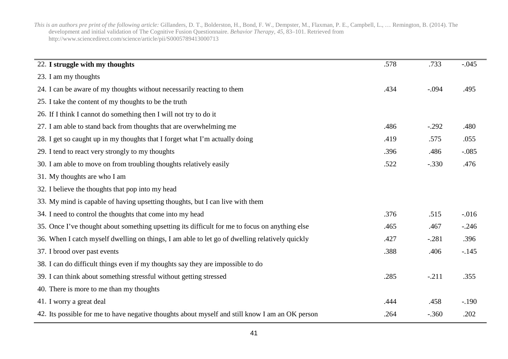| 22. I struggle with my thoughts                                                                 | .578 | .733    | $-.045$  |
|-------------------------------------------------------------------------------------------------|------|---------|----------|
| 23. I am my thoughts                                                                            |      |         |          |
| 24. I can be aware of my thoughts without necessarily reacting to them                          | .434 | $-.094$ | .495     |
| 25. I take the content of my thoughts to be the truth                                           |      |         |          |
| 26. If I think I cannot do something then I will not try to do it                               |      |         |          |
| 27. I am able to stand back from thoughts that are overwhelming me                              | .486 | $-.292$ | .480     |
| 28. I get so caught up in my thoughts that I forget what I'm actually doing                     | .419 | .575    | .055     |
| 29. I tend to react very strongly to my thoughts                                                | .396 | .486    | $-.085$  |
| 30. I am able to move on from troubling thoughts relatively easily                              | .522 | $-.330$ | .476     |
| 31. My thoughts are who I am                                                                    |      |         |          |
| 32. I believe the thoughts that pop into my head                                                |      |         |          |
| 33. My mind is capable of having upsetting thoughts, but I can live with them                   |      |         |          |
| 34. I need to control the thoughts that come into my head                                       | .376 | .515    | $-0.016$ |
| 35. Once I've thought about something upsetting its difficult for me to focus on anything else  | .465 | .467    | $-.246$  |
| 36. When I catch myself dwelling on things, I am able to let go of dwelling relatively quickly  | .427 | $-.281$ | .396     |
| 37. I brood over past events                                                                    | .388 | .406    | $-.145$  |
| 38. I can do difficult things even if my thoughts say they are impossible to do                 |      |         |          |
| 39. I can think about something stressful without getting stressed                              | .285 | $-.211$ | .355     |
| 40. There is more to me than my thoughts                                                        |      |         |          |
| 41. I worry a great deal                                                                        | .444 | .458    | $-.190$  |
| 42. Its possible for me to have negative thoughts about myself and still know I am an OK person | .264 | $-.360$ | .202     |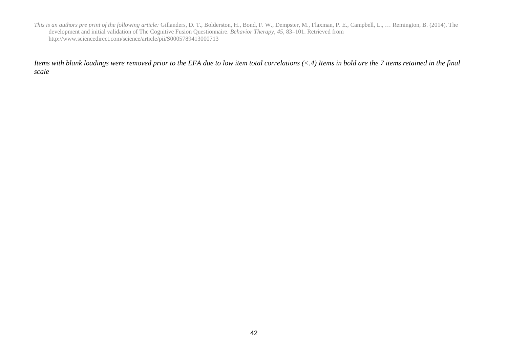*Items with blank loadings were removed prior to the EFA due to low item total correlations (<.4) Items in bold are the 7 items retained in the final scale*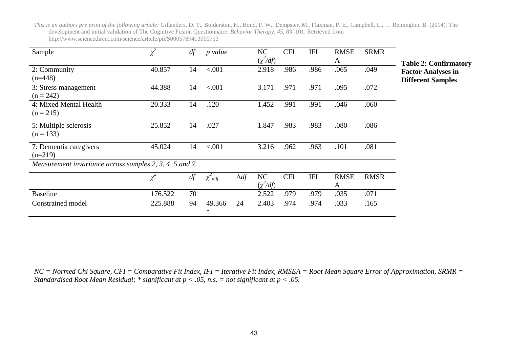| Sample                                                 |         | df | p value       |             | NC<br>$\left(\chi^2/df\right)$ | <b>CFI</b> | <b>IFI</b> | <b>RMSE</b><br>A | <b>SRMR</b> | <b>Table 2: Confirmatory</b>                          |
|--------------------------------------------------------|---------|----|---------------|-------------|--------------------------------|------------|------------|------------------|-------------|-------------------------------------------------------|
| 2: Community<br>$(n=448)$                              | 40.857  | 14 | < .001        |             | 2.918                          | .986       | .986       | .065             | .049        | <b>Factor Analyses in</b><br><b>Different Samples</b> |
| 3: Stress management<br>$(n = 242)$                    | 44.388  | 14 | < 0.001       |             | 3.171                          | .971       | .971       | .095             | .072        |                                                       |
| 4: Mixed Mental Health<br>$(n = 215)$                  | 20.333  | 14 | .120          |             | 1.452                          | .991       | .991       | .046             | .060        |                                                       |
| 5: Multiple sclerosis<br>$(n = 133)$                   | 25.852  | 14 | .027          |             | 1.847                          | .983       | .983       | .080             | .086        |                                                       |
| 7: Dementia caregivers<br>$(n=219)$                    | 45.024  | 14 | < .001        |             | 3.216                          | .962       | .963       | .101             | .081        |                                                       |
| Measurement invariance across samples 2, 3, 4, 5 and 7 |         |    |               |             |                                |            |            |                  |             |                                                       |
|                                                        |         | df | $\chi^2$ diff | $\Delta df$ | NC<br>$(\chi^2/df)$            | <b>CFI</b> | <b>IFI</b> | <b>RMSE</b><br>A | <b>RMSR</b> |                                                       |
| <b>Baseline</b>                                        | 176.522 | 70 |               |             | 2.522                          | .979       | .979       | .035             | .071        |                                                       |
| Constrained model                                      | 225.888 | 94 | 49.366<br>∗   | 24          | 2.403                          | .974       | .974       | .033             | .165        |                                                       |

*NC = Normed Chi Square, CFI = Comparative Fit Index, IFI = Iterative Fit Index, RMSEA = Root Mean Square Error of Approximation, SRMR = Standardised Root Mean Residual; \* significant at p < .05, n.s. = not significant at p < .05.*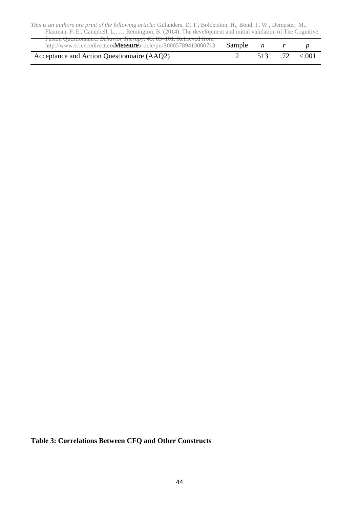*This is an authors pre print of the following article:* Gillanders, D. T., Bolderston, H., Bond, F. W., Dempster, M., Flaxman, P. E., Campbell, L., … Remington, B. (2014). The development and initial validation of The Cognitive

| <b>Fusion Questionnaire.</b> Behavior Therapy, 45, 83–101. Retrieved from<br>http://www.sciencedirect.com <b>Measure</b> article/pii/S0005789413000713 <b>Sample</b> <i>n r p</i> |  |                 |
|-----------------------------------------------------------------------------------------------------------------------------------------------------------------------------------|--|-----------------|
| Acceptance and Action Questionnaire (AAQ2)                                                                                                                                        |  | $513$ .72 <.001 |

**Table 3: Correlations Between CFQ and Other Constructs**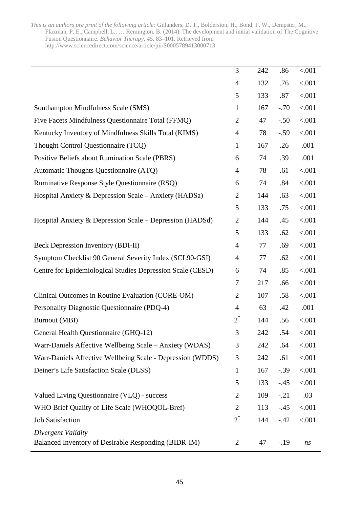| http://www.sciencedirect.com/science/article/pii/S0005789413000713 |  |
|--------------------------------------------------------------------|--|

|                                                            | 3              | 242 | .86    | < .001  |
|------------------------------------------------------------|----------------|-----|--------|---------|
|                                                            | $\overline{4}$ | 132 | .76    | < .001  |
|                                                            | 5              | 133 | .87    | < .001  |
| Southampton Mindfulness Scale (SMS)                        | $\mathbf{1}$   | 167 | $-.70$ | < .001  |
| Five Facets Mindfulness Questionnaire Total (FFMQ)         | $\mathfrak{2}$ | 47  | $-.50$ | < .001  |
| Kentucky Inventory of Mindfulness Skills Total (KIMS)      | $\overline{4}$ | 78  | $-.59$ | < .001  |
| Thought Control Questionnaire (TCQ)                        | 1              | 167 | .26    | .001    |
| Positive Beliefs about Rumination Scale (PBRS)             | 6              | 74  | .39    | .001    |
| Automatic Thoughts Questionnaire (ATQ)                     | $\overline{4}$ | 78  | .61    | < .001  |
| Ruminative Response Style Questionnaire (RSQ)              | 6              | 74  | .84    | < .001  |
| Hospital Anxiety & Depression Scale – Anxiety (HADSa)      | $\overline{2}$ | 144 | .63    | < .001  |
|                                                            | 5              | 133 | .75    | < .001  |
| Hospital Anxiety & Depression Scale – Depression (HADSd)   | $\overline{2}$ | 144 | .45    | < .001  |
|                                                            | 5              | 133 | .62    | < .001  |
| Beck Depression Inventory (BDI-II)                         | $\overline{4}$ | 77  | .69    | < .001  |
| Symptom Checklist 90 General Severity Index (SCL90-GSI)    | $\overline{4}$ | 77  | .62    | < .001  |
| Centre for Epidemiological Studies Depression Scale (CESD) | 6              | 74  | .85    | < .001  |
|                                                            | 7              | 217 | .66    | < .001  |
| Clinical Outcomes in Routine Evaluation (CORE-OM)          | $\overline{2}$ | 107 | .58    | < .001  |
| Personality Diagnostic Questionnaire (PDQ-4)               | $\overline{4}$ | 63  | .42    | .001    |
| <b>Burnout</b> (MBI)                                       | $2^*$          | 144 | .56    | < .001  |
| General Health Questionnaire (GHQ-12)                      | 3              | 242 | .54    | < .001  |
| Warr-Daniels Affective Wellbeing Scale – Anxiety (WDAS)    | 3              | 242 | .64    | < .001  |
| Warr-Daniels Affective Wellbeing Scale - Depression (WDDS) | 3              | 242 | .61    | < .001  |
| Deiner's Life Satisfaction Scale (DLSS)                    | $\mathbf{1}$   | 167 | $-.39$ | < 0.001 |
|                                                            | 5              | 133 | $-.45$ | < .001  |
| Valued Living Questionnaire (VLQ) - success                | $\mathfrak{2}$ | 109 | $-.21$ | .03     |
| WHO Brief Quality of Life Scale (WHOQOL-Bref)              | $\overline{2}$ | 113 | $-.45$ | < .001  |
| <b>Job Satisfaction</b>                                    | $2^*$          | 144 | $-.42$ | < .001  |
| Divergent Validity                                         |                |     |        |         |
| Balanced Inventory of Desirable Responding (BIDR-IM)       | $\overline{2}$ | 47  | $-.19$ | ns      |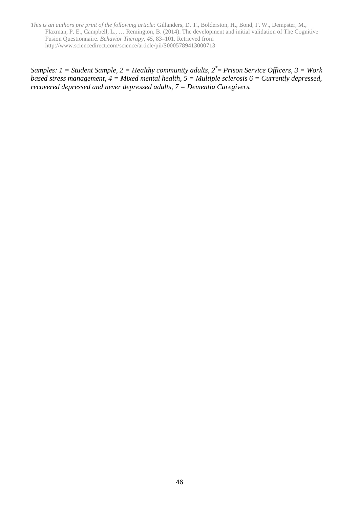*Samples: 1 = Student Sample, 2 = Healthy community adults, 2\** = *Prison Service Officers*, *3 = Work based stress management, 4 = Mixed mental health, 5 = Multiple sclerosis 6 = Currently depressed, recovered depressed and never depressed adults, 7 = Dementia Caregivers.*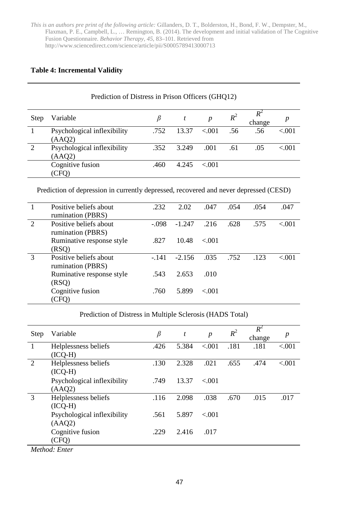# **Table 4: Incremental Validity**

|                | Prediction of Distress in Prison Officers (GHQ12) |         |       |         |       |                 |          |  |  |  |  |
|----------------|---------------------------------------------------|---------|-------|---------|-------|-----------------|----------|--|--|--|--|
| <b>Step</b>    | Variable                                          | $\beta$ | t     | p       | $R^2$ | $R^2$<br>change | р        |  |  |  |  |
|                | Psychological inflexibility<br>(AAQ2)             | .752    | 13.37 | < 0.001 | .56   | .56             | ${<}001$ |  |  |  |  |
| $\overline{2}$ | Psychological inflexibility<br>(AAQ2)             | .352    | 3.249 | .001    | .61   | .05             | <.001    |  |  |  |  |
|                | Cognitive fusion<br>(CFO)                         | .460    | 4.245 | < 001   |       |                 |          |  |  |  |  |

Prediction of depression in currently depressed, recovered and never depressed (CESD)

|                             | Positive beliefs about<br>rumination (PBRS) | .232    | 2.02     | .047   | .054 | .054   | .047   |
|-----------------------------|---------------------------------------------|---------|----------|--------|------|--------|--------|
|                             |                                             |         |          |        |      |        |        |
| $\mathcal{D}_{\mathcal{L}}$ | Positive beliefs about<br>rumination (PBRS) | $-.098$ | $-1.247$ | .216   | .628 | .575   | < 0.01 |
|                             |                                             |         |          |        |      |        |        |
|                             | Ruminative response style                   | .827    | 10.48    | < 0.01 |      |        |        |
|                             | (RSQ)                                       |         |          |        |      |        |        |
| 3                           | Positive beliefs about<br>rumination (PBRS) | $-141$  | $-2.156$ | .035   | .752 | $-123$ | < 0.01 |
|                             | Ruminative response style<br>(RSQ)          | .543    | 2.653    | .010   |      |        |        |
|                             | Cognitive fusion<br>(CFO)                   | .760    | 5.899    | < 0.01 |      |        |        |

Prediction of Distress in Multiple Sclerosis (HADS Total)

| <b>Step</b>    | Variable                    | $\beta$ | t     | $\boldsymbol{p}$ | $R^2$ | $\overline{R^2}$<br>change | $\boldsymbol{p}$ |
|----------------|-----------------------------|---------|-------|------------------|-------|----------------------------|------------------|
| 1              | Helplessness beliefs        | .426    | 5.384 | < .001           | .181  | .181                       | < .001           |
|                | $(ICO-H)$                   |         |       |                  |       |                            |                  |
| $\overline{2}$ | Helplessness beliefs        | .130    | 2.328 | .021             | .655  | .474                       | < .001           |
|                | $(ICQ-H)$                   |         |       |                  |       |                            |                  |
|                | Psychological inflexibility | .749    | 13.37 | < 0.001          |       |                            |                  |
|                | (AAQ2)                      |         |       |                  |       |                            |                  |
| 3              | Helplessness beliefs        | .116    | 2.098 | .038             | .670  | .015                       | .017             |
|                | $(ICQ-H)$                   |         |       |                  |       |                            |                  |
|                | Psychological inflexibility | .561    | 5.897 | < 0.001          |       |                            |                  |
|                | (AAQ2)                      |         |       |                  |       |                            |                  |
|                | Cognitive fusion            | .229    | 2.416 | .017             |       |                            |                  |
|                | (CFQ)                       |         |       |                  |       |                            |                  |
|                | Method: Enter               |         |       |                  |       |                            |                  |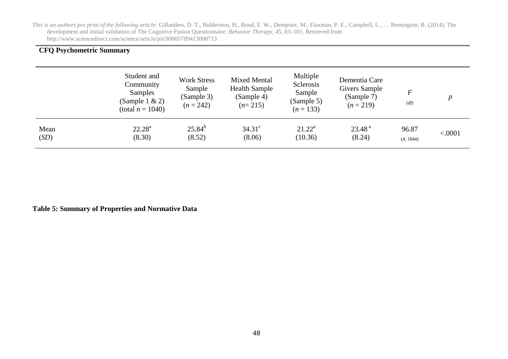# **CFQ Psychometric Summary**

|      | Student and<br>Community<br>Samples<br>(Sample $1 \& 2$ )<br>(total $n = 1040$ ) | <b>Work Stress</b><br>Sample<br>(Sample 3)<br>$(n = 242)$ | <b>Mixed Mental</b><br><b>Health Sample</b><br>(Sample 4)<br>$(n=215)$ | Multiple<br>Sclerosis<br>Sample<br>(Sample 5)<br>$(n = 133)$ | Dementia Care<br>Givers Sample<br>(Sample 7)<br>$(n=219)$ | F<br>(df) |         |
|------|----------------------------------------------------------------------------------|-----------------------------------------------------------|------------------------------------------------------------------------|--------------------------------------------------------------|-----------------------------------------------------------|-----------|---------|
| Mean | $22.28^{\rm a}$                                                                  | $25.84^{b}$                                               | $34.31^{\circ}$                                                        | $21.22^a$                                                    | 23.48 <sup>a</sup>                                        | 96.87     | < .0001 |
| (SD) | (8.30)                                                                           | (8.52)                                                    | (8.06)                                                                 | (10.36)                                                      | (8.24)                                                    | (4, 1844) |         |

**Table 5: Summary of Properties and Normative Data**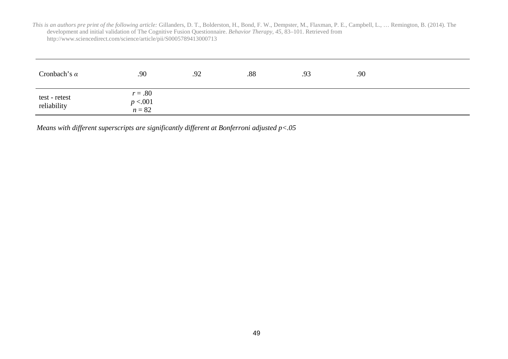| Cronbach's $\alpha$          | .90                               | .92 | .88 | .93 | .90 |  |
|------------------------------|-----------------------------------|-----|-----|-----|-----|--|
| test - retest<br>reliability | $r=.80$<br>$p < .001$<br>$n = 82$ |     |     |     |     |  |

*Means with different superscripts are significantly different at Bonferroni adjusted p<.05*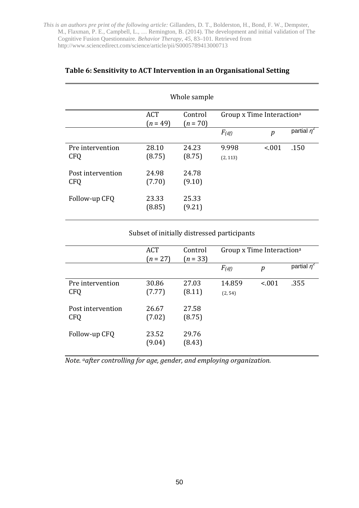| Whole sample                    |                   |                       |                                       |        |                  |  |  |
|---------------------------------|-------------------|-----------------------|---------------------------------------|--------|------------------|--|--|
|                                 | ACT<br>$(n = 49)$ | Control<br>$(n = 70)$ | Group x Time Interaction <sup>a</sup> |        |                  |  |  |
|                                 |                   |                       | $F_{(df)}$                            | p      | partial $\eta^2$ |  |  |
| Pre intervention<br><b>CFO</b>  | 28.10<br>(8.75)   | 24.23<br>(8.75)       | 9.998<br>(2, 113)                     | < .001 | .150             |  |  |
| Post intervention<br><b>CFQ</b> | 24.98<br>(7.70)   | 24.78<br>(9.10)       |                                       |        |                  |  |  |
| Follow-up CFQ                   | 23.33<br>(8.85)   | 25.33<br>(9.21)       |                                       |        |                  |  |  |

# **Table 6: Sensitivity to ACT Intervention in an Organisational Setting**

|                                 | <b>ACT</b><br>$(n = 27)$ | Control<br>$(n = 33)$ | Group x Time Interaction <sup>a</sup> |         |                  |
|---------------------------------|--------------------------|-----------------------|---------------------------------------|---------|------------------|
|                                 |                          |                       | $F_{(df)}$                            | p       | partial $\eta^2$ |
| Pre intervention<br><b>CFQ</b>  | 30.86<br>(7.77)          | 27.03<br>(8.11)       | 14.859<br>(2, 54)                     | $-.001$ | .355             |
| Post intervention<br><b>CFQ</b> | 26.67<br>(7.02)          | 27.58<br>(8.75)       |                                       |         |                  |
| Follow-up CFQ                   | 23.52<br>(9.04)          | 29.76<br>(8.43)       |                                       |         |                  |

Subset of initially distressed participants

*Note. aafter controlling for age, gender, and employing organization.*